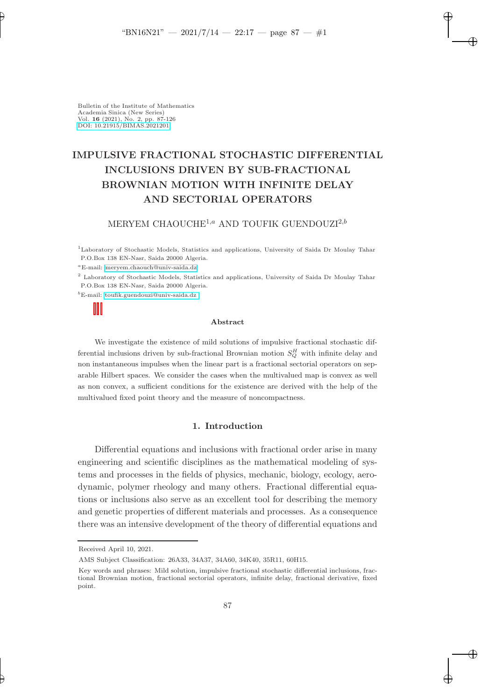✐

✐

✐

Bulletin of the Institute of Mathematics Academia Sinica (New Series) Vol. 16 (2021), No. 2, pp. 87-126 [DOI: 10.21915/BIMAS.2021201](10.21915/BIMAS.2021201)

✐

✐

# IMPULSIVE FRACTIONAL STOCHASTIC DIFFERENTIAL INCLUSIONS DRIVEN BY SUB-FRACTIONAL BROWNIAN MOTION WITH INFINITE DELAY AND SECTORIAL OPERATORS

# MERYEM CHAOUCHE<sup>1,a</sup> AND TOUFIK GUENDOUZI<sup>2,b</sup>

<sup>1</sup>Laboratory of Stochastic Models, Statistics and applications, University of Saida Dr Moulay Tahar P.O.Box 138 EN-Nasr, Saida 20000 Algeria.

<sup>a</sup>E-mail: [meryem.chaouch@univ-saida.dz](mailto:e-mail address)

<sup>2</sup> Laboratory of Stochastic Models, Statistics and applications, University of Saida Dr Moulay Tahar P.O.Box 138 EN-Nasr, Saida 20000 Algeria.

<sup>b</sup>E-mail: [toufik.guendouzi@univ-saida.dz](mailto:e-mail address)

#### Abstract

We investigate the existence of mild solutions of impulsive fractional stochastic differential inclusions driven by sub-fractional Brownian motion  $S_Q^H$  with infinite delay and non instantaneous impulses when the linear part is a fractional sectorial operators on separable Hilbert spaces. We consider the cases when the multivalued map is convex as well as non convex, a sufficient conditions for the existence are derived with the help of the multivalued fixed point theory and the measure of noncompactness.

### 1. Introduction

Differential equations and inclusions with fractional order arise in many engineering and scientific disciplines as the mathematical modeling of systems and processes in the fields of physics, mechanic, biology, ecology, aerodynamic, polymer rheology and many others. Fractional differential equations or inclusions also serve as an excellent tool for describing the memory and genetic properties of different materials and processes. As a consequence there was an intensive development of the theory of differential equations and

Received April 10, 2021.

AMS Subject Classification: 26A33, 34A37, 34A60, 34K40, 35R11, 60H15.

Key words and phrases: Mild solution, impulsive fractional stochastic differential inclusions, fractional Brownian motion, fractional sectorial operators, infinite delay, fractional derivative, fixed point.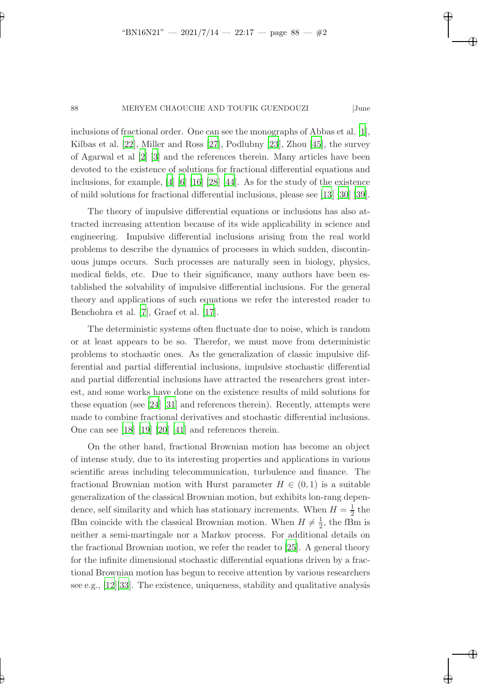✐

✐

✐

✐

✐

#### 88 MERYEM CHAOUCHE AND TOUFIK GUENDOUZI [June

inclusions of fractional order. One can see the monographs of Abbas et al. [\[1\]](#page-36-0), Kilbas et al. [\[22](#page-37-0)], Miller and Ross [\[27](#page-38-0)], Podlubny [\[23\]](#page-37-1), Zhou [\[45](#page-39-0)], the survey of Agarwal et al [\[2](#page-36-1)] [\[3\]](#page-36-2) and the references therein. Many articles have been devoted to the existence of solutions for fractional differential equations and inclusions, for example, [\[4](#page-36-3)] [\[6\]](#page-36-4) [\[16\]](#page-37-2) [\[28\]](#page-38-1) [\[44](#page-39-1)]. As for the study of the existence of mild solutions for fractional differential inclusions, please see [\[13](#page-37-3)] [\[30](#page-38-2)] [\[39\]](#page-38-3).

The theory of impulsive differential equations or inclusions has also attracted increasing attention because of its wide applicability in science and engineering. Impulsive differential inclusions arising from the real world problems to describe the dynamics of processes in which sudden, discontinuous jumps occurs. Such processes are naturally seen in biology, physics, medical fields, etc. Due to their significance, many authors have been established the solvability of impulsive differential inclusions. For the general theory and applications of such equations we refer the interested reader to Benchohra et al. [\[7](#page-36-5)], Graef et al. [\[17](#page-37-4)].

The deterministic systems often fluctuate due to noise, which is random or at least appears to be so. Therefor, we must move from deterministic problems to stochastic ones. As the generalization of classic impulsive differential and partial differential inclusions, impulsive stochastic differential and partial differential inclusions have attracted the researchers great interest, and some works have done on the existence results of mild solutions for these equation (see [\[24](#page-37-5)] [\[31\]](#page-38-4) and references therein). Recently, attempts were made to combine fractional derivatives and stochastic differential inclusions. One can see [\[18](#page-37-6)] [\[19](#page-37-7)] [\[20\]](#page-37-8) [\[41](#page-39-2)] and references therein.

On the other hand, fractional Brownian motion has become an object of intense study, due to its interesting properties and applications in various scientific areas including telecommunication, turbulence and finance. The fractional Brownian motion with Hurst parameter  $H \in (0,1)$  is a suitable generalization of the classical Brownian motion, but exhibits lon-rang dependence, self similarity and which has stationary increments. When  $H = \frac{1}{2}$  $rac{1}{2}$  the fBm coincide with the classical Brownian motion. When  $H \neq \frac{1}{2}$  $\frac{1}{2}$ , the fBm is neither a semi-martingale nor a Markov process. For additional details on the fractional Brownian motion, we refer the reader to [\[25\]](#page-38-5). A general theory for the infinite dimensional stochastic differential equations driven by a fractional Brownian motion has begun to receive attention by various researchers see e.g., [\[12\]](#page-37-9)[\[33\]](#page-38-6). The existence, uniqueness, stability and qualitative analysis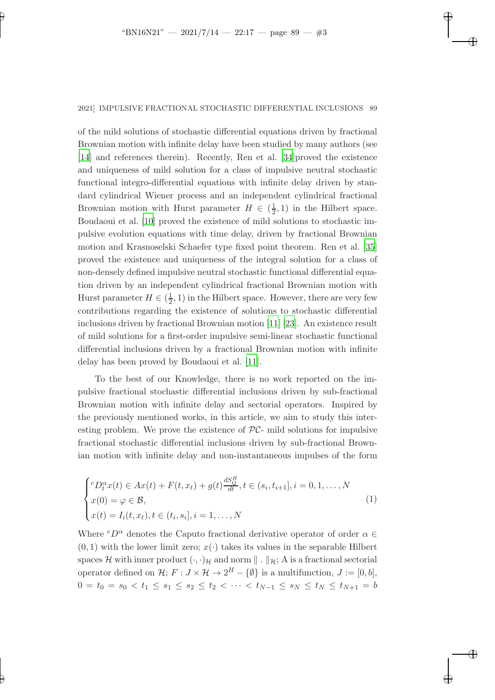✐

✐

✐

✐

✐

### 2021] IMPULSIVE FRACTIONAL STOCHASTIC DIFFERENTIAL INCLUSIONS 89

of the mild solutions of stochastic differential equations driven by fractional Brownian motion with infinite delay have been studied by many authors (see [\[14](#page-37-10)] and references therein). Recently, Ren et al. [\[34](#page-38-7)]proved the existence and uniqueness of mild solution for a class of impulsive neutral stochastic functional integro-differential equations with infinite delay driven by standard cylindrical Wiener process and an independent cylindrical fractional Brownian motion with Hurst parameter  $H \in \left(\frac{1}{2}\right)$  $(\frac{1}{2}, 1)$  in the Hilbert space. Boudaoui et al. [\[10](#page-37-11)] proved the existence of mild solutions to stochastic impulsive evolution equations with time delay, driven by fractional Brownian motion and Krasnoselski Schaefer type fixed point theorem. Ren et al. [\[35](#page-38-8)] proved the existence and uniqueness of the integral solution for a class of non-densely defined impulsive neutral stochastic functional differential equation driven by an independent cylindrical fractional Brownian motion with Hurst parameter  $H \in (\frac{1}{2})$  $(\frac{1}{2}, 1)$  in the Hilbert space. However, there are very few contributions regarding the existence of solutions to stochastic differential inclusions driven by fractional Brownian motion [\[11](#page-37-12)] [\[23](#page-37-1)]. An existence result of mild solutions for a first-order impulsive semi-linear stochastic functional differential inclusions driven by a fractional Brownian motion with infinite delay has been proved by Boudaoui et al. [\[11\]](#page-37-12).

To the best of our Knowledge, there is no work reported on the impulsive fractional stochastic differential inclusions driven by sub-fractional Brownian motion with infinite delay and sectorial operators. Inspired by the previously mentioned works, in this article, we aim to study this interesting problem. We prove the existence of  $PC-$  mild solutions for impulsive fractional stochastic differential inclusions driven by sub-fractional Brownian motion with infinite delay and non-instantaneous impulses of the form

<span id="page-2-0"></span>
$$
\begin{cases} ^{c}D_{t}^{\alpha}x(t) \in Ax(t) + F(t, x_{t}) + g(t) \frac{dS_{Q}^{H}}{dt}, t \in (s_{i}, t_{i+1}], i = 0, 1, ..., N \\ x(0) = \varphi \in \mathcal{B}, \\ x(t) = I_{i}(t, x_{t}), t \in (t_{i}, s_{i}], i = 1, ..., N \end{cases}
$$
(1)

Where  ${}^cD^{\alpha}$  denotes the Caputo fractional derivative operator of order  $\alpha \in$  $(0, 1)$  with the lower limit zero;  $x(\cdot)$  takes its values in the separable Hilbert spaces H with inner product  $(\cdot, \cdot)_{\mathcal{H}}$  and norm  $\|\cdot\|_{\mathcal{H}}$ ; A is a fractional sectorial operator defined on  $\mathcal{H}$ ;  $F: J \times \mathcal{H} \to 2^H - {\emptyset}$  is a multifunction,  $J := [0, b]$ ,  $0 = t_0 = s_0 < t_1 \leq s_1 \leq s_2 \leq t_2 < \cdots < t_{N-1} \leq s_N \leq t_N \leq t_{N+1} = b$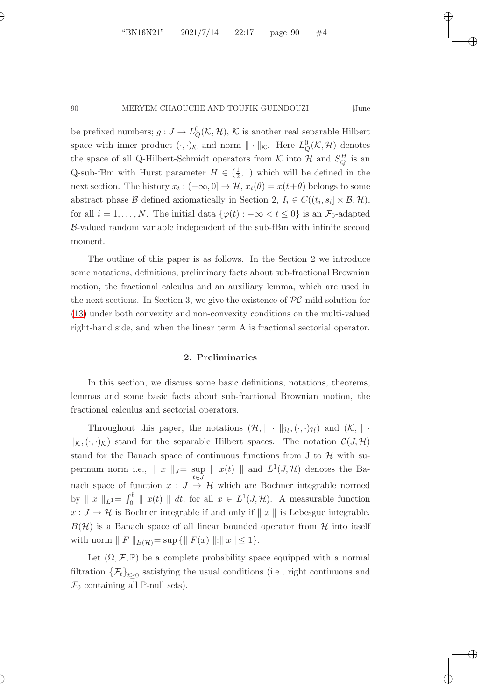✐

✐

✐

✐

✐

### 90 MERYEM CHAOUCHE AND TOUFIK GUENDOUZI [June

be prefixed numbers;  $g: J \to L^0_Q(\mathcal{K}, \mathcal{H}), \mathcal{K}$  is another real separable Hilbert space with inner product  $(\cdot, \cdot)_{\mathcal{K}}$  and norm  $\|\cdot\|_{\mathcal{K}}$ . Here  $L_Q^0(\mathcal{K}, \mathcal{H})$  denotes the space of all Q-Hilbert-Schmidt operators from  $K$  into  $H$  and  $S_Q^H$  is an Q-sub-fBm with Hurst parameter  $H \in (\frac{1}{2})$  $(\frac{1}{2}, 1)$  which will be defined in the next section. The history  $x_t: (-\infty, 0] \to \mathcal{H}$ ,  $x_t(\theta) = x(t+\theta)$  belongs to some abstract phase  $\mathcal B$  defined axiomatically in Section 2,  $I_i \in C((t_i, s_i] \times \mathcal B, \mathcal H)$ , for all  $i = 1, ..., N$ . The initial data  $\{\varphi(t) : -\infty < t \leq 0\}$  is an  $\mathcal{F}_0$ -adapted B-valued random variable independent of the sub-fBm with infinite second moment.

The outline of this paper is as follows. In the Section 2 we introduce some notations, definitions, preliminary facts about sub-fractional Brownian motion, the fractional calculus and an auxiliary lemma, which are used in the next sections. In Section 3, we give the existence of  $PC$ -mild solution for [\(13\)](#page-13-0) under both convexity and non-convexity conditions on the multi-valued right-hand side, and when the linear term A is fractional sectorial operator.

## 2. Preliminaries

In this section, we discuss some basic definitions, notations, theorems, lemmas and some basic facts about sub-fractional Brownian motion, the fractional calculus and sectorial operators.

Throughout this paper, the notations  $(\mathcal{H}, \|\cdot\|_{\mathcal{H}}, (\cdot, \cdot)_{\mathcal{H}})$  and  $(\mathcal{K}, \|\cdot\|_{\mathcal{H}})$  $\|_{K_{\alpha}}(\cdot,\cdot)_{K_{\alpha}}\|_{K_{\alpha}}$  stand for the separable Hilbert spaces. The notation  $\mathcal{C}(J,\mathcal{H})$ stand for the Banach space of continuous functions from J to  $\mathcal H$  with supermum norm i.e.,  $\| x \|_{J} = \sup_{t \in I} \| x(t) \|$  and  $L^1(J, \mathcal{H})$  denotes the Bat∈J nach space of function  $x : J \to \mathcal{H}$  which are Bochner integrable normed by  $\|x\|_{L^1} = \int_0^b \|x(t)\| dt$ , for all  $x \in L^1(J, \mathcal{H})$ . A measurable function  $x: J \to H$  is Bochner integrable if and only if  $||x||$  is Lebesgue integrable.  $B(\mathcal{H})$  is a Banach space of all linear bounded operator from  $\mathcal H$  into itself with norm  $|| F ||_{B(H)} = \sup \{ || F(x) || : || x || \le 1 \}.$ 

Let  $(\Omega, \mathcal{F}, \mathbb{P})$  be a complete probability space equipped with a normal filtration  $\{\mathcal{F}_t\}_{t\geq 0}$  satisfying the usual conditions (i.e., right continuous and  $\mathcal{F}_0$  containing all P-null sets).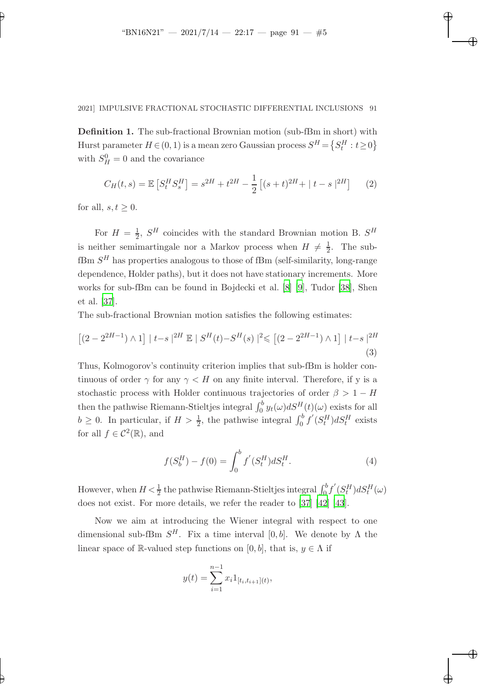✐

✐

✐

# 2021] IMPULSIVE FRACTIONAL STOCHASTIC DIFFERENTIAL INCLUSIONS 91

Definition 1. The sub-fractional Brownian motion (sub-fBm in short) with Hurst parameter  $H \in (0, 1)$  is a mean zero Gaussian process  $S^H = \{S_t^H : t \ge 0\}$ with  $S_H^0 = 0$  and the covariance

$$
C_H(t,s) = \mathbb{E}\left[S_t^H S_s^H\right] = s^{2H} + t^{2H} - \frac{1}{2}\left[ (s+t)^{2H} + |t-s|^{2H} \right] \tag{2}
$$

for all,  $s, t \geq 0$ .

✐

✐

For  $H = \frac{1}{2}$  $\frac{1}{2}$ ,  $S^H$  coincides with the standard Brownian motion B.  $S^H$ is neither semimartingale nor a Markov process when  $H \neq \frac{1}{2}$  $\frac{1}{2}$ . The sub $fBm S<sup>H</sup>$  has properties analogous to those of  $fBm$  (self-similarity, long-range dependence, Holder paths), but it does not have stationary increments. More works for sub-fBm can be found in Bojdecki et al. [\[8](#page-36-6)] [\[9](#page-36-7)], Tudor [\[38](#page-38-9)], Shen et al. [\[37](#page-38-10)].

The sub-fractional Brownian motion satisfies the following estimates:

$$
\left[ (2 - 2^{2H-1}) \wedge 1 \right] \mid t - s \mid^{2H} \mathbb{E} \mid S^H(t) - S^H(s) \mid^2 \leq \left[ (2 - 2^{2H-1}) \wedge 1 \right] \mid t - s \mid^{2H}
$$
\n(3)

Thus, Kolmogorov's continuity criterion implies that sub-fBm is holder continuous of order  $\gamma$  for any  $\gamma < H$  on any finite interval. Therefore, if y is a stochastic process with Holder continuous trajectories of order  $\beta > 1 - H$ then the pathwise Riemann-Stieltjes integral  $\int_0^b y_t(\omega)dS^H(t)(\omega)$  exists for all  $b \geq 0$ . In particular, if  $H > \frac{1}{2}$ , the pathwise integral  $\int_0^b f'(S_t^H) dS_t^H$  exists for all  $f \in C^2(\mathbb{R})$ , and

$$
f(S_b^H) - f(0) = \int_0^b f'(S_t^H) dS_t^H.
$$
\n(4)

However, when  $H \leq \frac{1}{2}$  the pathwise Riemann-Stieltjes integral  $\int_0^b f^{'}(S_t^H) dS_t^H(\omega)$ does not exist. For more details, we refer the reader to [\[37\]](#page-38-10) [\[42](#page-39-3)] [\[43\]](#page-39-4).

Now we aim at introducing the Wiener integral with respect to one dimensional sub-fBm  $S^H$ . Fix a time interval [0, b]. We denote by  $\Lambda$  the linear space of R-valued step functions on [0, b], that is,  $y \in \Lambda$  if

$$
y(t) = \sum_{i=1}^{n-1} x_i 1_{[t_i, t_{i+1}](t)},
$$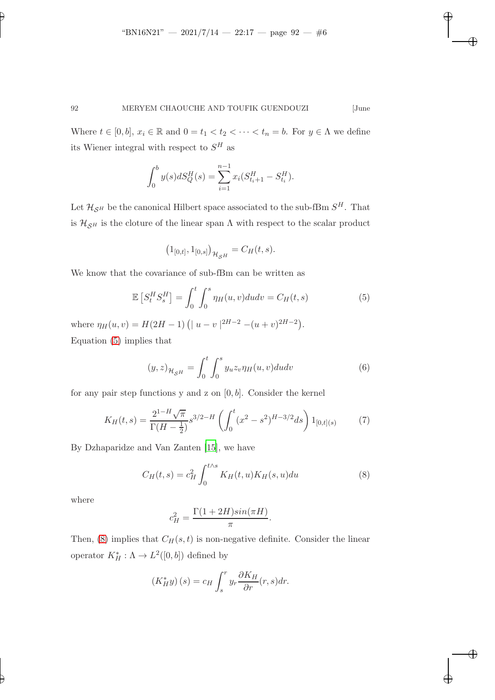✐

✐

✐

# 92 MERYEM CHAOUCHE AND TOUFIK GUENDOUZI [June

Where  $t \in [0, b]$ ,  $x_i \in \mathbb{R}$  and  $0 = t_1 < t_2 < \cdots < t_n = b$ . For  $y \in \Lambda$  we define its Wiener integral with respect to  $S<sup>H</sup>$  as

$$
\int_0^b y(s)dS_Q^H(s) = \sum_{i=1}^{n-1} x_i (S_{t_i+1}^H - S_{t_i}^H).
$$

Let  $\mathcal{H}_{\mathcal{S}^H}$  be the canonical Hilbert space associated to the sub-fBm  $S^H$ . That is  $\mathcal{H}_{\mathcal{S}^H}$  is the cloture of the linear span  $\Lambda$  with respect to the scalar product

<span id="page-5-0"></span>
$$
\left(1_{[0,t]},1_{[0,s]}\right)_{\mathcal{H}_{\mathcal{S}^H}}=C_H(t,s).
$$

We know that the covariance of sub-fBm can be written as

$$
\mathbb{E}\left[S_t^H S_s^H\right] = \int_0^t \int_0^s \eta_H(u, v) du dv = C_H(t, s) \tag{5}
$$

where  $\eta_H(u, v) = H(2H - 1) \left( |u - v|^{2H - 2} - (u + v)^{2H - 2} \right)$ . Equation [\(5\)](#page-5-0) implies that

<span id="page-5-2"></span>
$$
(y,z)_{\mathcal{H}_{\mathcal{S}^H}} = \int_0^t \int_0^s y_u z_v \eta_H(u,v) du dv \tag{6}
$$

for any pair step functions y and z on  $[0, b]$ . Consider the kernel

$$
K_H(t,s) = \frac{2^{1-H}\sqrt{\pi}}{\Gamma(H-\frac{1}{2})} s^{3/2-H} \left( \int_0^t (x^2 - s^2)^{H-3/2} ds \right) 1_{[0,t](s)} \tag{7}
$$

By Dzhaparidze and Van Zanten [\[15](#page-37-13)], we have

$$
C_H(t,s) = c_H^2 \int_0^{t \wedge s} K_H(t,u) K_H(s,u) du \tag{8}
$$

where

✐

✐

<span id="page-5-1"></span>
$$
c_H^2 = \frac{\Gamma(1+2H)sin(\pi H)}{\pi}.
$$

Then, [\(8\)](#page-5-1) implies that  $C_H(s, t)$  is non-negative definite. Consider the linear operator  $K_H^* : \Lambda \to L^2([0, b])$  defined by

$$
(K_H^*y)(s) = c_H \int_s^r y_r \frac{\partial K_H}{\partial r}(r,s) dr.
$$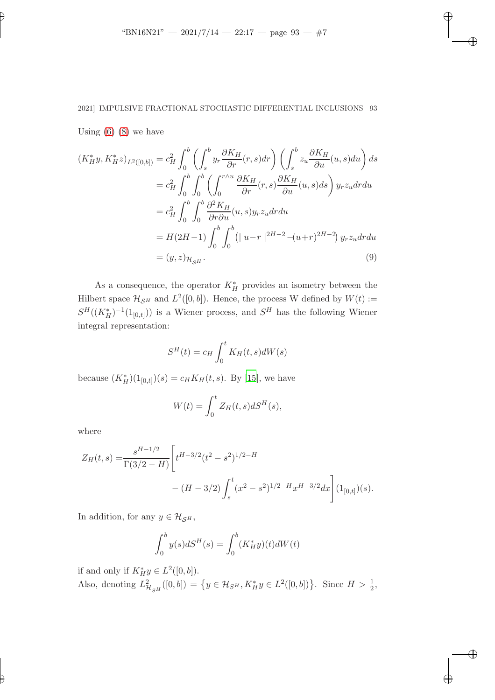✐

✐

✐

# 2021] IMPULSIVE FRACTIONAL STOCHASTIC DIFFERENTIAL INCLUSIONS 93

Using  $(6)$   $(8)$  we have

✐

✐

$$
(K_H^* y, K_H^* z)_{L^2([0,b])} = c_H^2 \int_0^b \left( \int_s^b y_r \frac{\partial K_H}{\partial r}(r, s) dr \right) \left( \int_s^b z_u \frac{\partial K_H}{\partial u}(u, s) du \right) ds
$$
  
\n
$$
= c_H^2 \int_0^b \int_0^b \left( \int_0^{r \wedge u} \frac{\partial K_H}{\partial r}(r, s) \frac{\partial K_H}{\partial u}(u, s) ds \right) y_r z_u dr du
$$
  
\n
$$
= c_H^2 \int_0^b \int_0^b \frac{\partial^2 K_H}{\partial r \partial u}(u, s) y_r z_u dr du
$$
  
\n
$$
= H(2H-1) \int_0^b \int_0^b (|u-r|^{2H-2} - (u+r)^{2H-2}) y_r z_u dr du
$$
  
\n
$$
= (y, z)_{\mathcal{H}_{SH}}.
$$
\n(9)

As a consequence, the operator  $K_H^*$  provides an isometry between the Hilbert space  $\mathcal{H}_{\mathcal{S}^H}$  and  $L^2([0, b])$ . Hence, the process W defined by  $W(t) :=$  $S^H((K_H^*)^{-1}(1_{[0,t]}))$  is a Wiener process, and  $S^H$  has the following Wiener integral representation:

<span id="page-6-0"></span>
$$
S^{H}(t) = c_{H} \int_{0}^{t} K_{H}(t, s)dW(s)
$$

because  $(K_H^*)(1_{[0,t]}) (s) = c_H K_H(t, s)$ . By [\[15](#page-37-13)], we have

$$
W(t) = \int_0^t Z_H(t, s) dS^H(s),
$$

where

$$
Z_H(t,s) = \frac{s^{H-1/2}}{\Gamma(3/2-H)} \left[ t^{H-3/2} (t^2 - s^2)^{1/2-H} - (H-3/2) \int_s^t (x^2 - s^2)^{1/2-H} x^{H-3/2} dx \right] (1_{[0,t]})(s).
$$

In addition, for any  $y \in \mathcal{H}_{\mathcal{S}^H}$ ,

$$
\int_0^b y(s) dS^H(s) = \int_0^b (K_H^* y)(t) dW(t)
$$

if and only if  $K_H^*y \in L^2([0, b]).$ Also, denoting  $L^2_{\mathcal{H}_{SH}}([0, b]) = \{y \in \mathcal{H}_{SH}, K_H^*y \in L^2([0, b])\}$ . Since  $H > \frac{1}{2}$ ,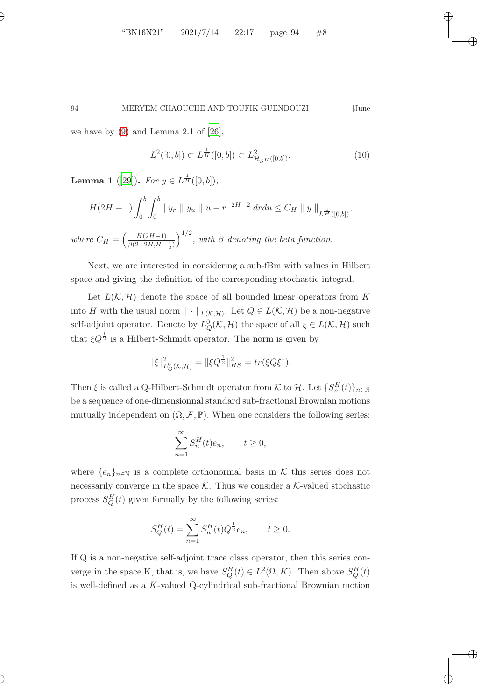we have by  $(9)$  and Lemma 2.1 of  $[26]$ ,

✐

✐

<span id="page-7-0"></span>
$$
L^{2}([0,b]) \subset L^{\frac{1}{H}}([0,b]) \subset L^{2}_{\mathcal{H}_{SH}([0,b])}.
$$
\n(10)

,

✐

✐

✐

✐

**Lemma 1** ([\[29](#page-38-12)]). For  $y \in L^{\frac{1}{H}}([0, b]),$ 

 $wh$ 

$$
H(2H - 1) \int_0^b \int_0^b |y_r| |y_u| |u - r|^{2H - 2} dr du \le C_H ||y||_{L^{\frac{1}{H}}([0,b])}
$$
  
ere  $C_H = \left(\frac{H(2H - 1)}{\beta(2 - 2H, H - \frac{1}{2})}\right)^{1/2}$ , with  $\beta$  denoting the beta function.

Next, we are interested in considering a sub-fBm with values in Hilbert space and giving the definition of the corresponding stochastic integral.

Let  $L(\mathcal{K}, \mathcal{H})$  denote the space of all bounded linear operators from K into H with the usual norm  $\|\cdot\|_{L(\mathcal{K},\mathcal{H})}$ . Let  $Q \in L(\mathcal{K},\mathcal{H})$  be a non-negative self-adjoint operator. Denote by  $L_Q^0(\mathcal{K}, \mathcal{H})$  the space of all  $\xi \in L(\mathcal{K}, \mathcal{H})$  such that  $\xi Q^{\frac{1}{2}}$  is a Hilbert-Schmidt operator. The norm is given by

$$
\|\xi\|_{L_Q^0(\mathcal{K},\mathcal{H})}^2 = \|\xi Q^{\frac{1}{2}}\|_{HS}^2 = tr(\xi Q \xi^*).
$$

Then  $\xi$  is called a Q-Hilbert-Schmidt operator from  $K$  to  $\mathcal{H}$ . Let  $\{S_n^H(t)\}_{n\in\mathbb{N}}$ be a sequence of one-dimensionnal standard sub-fractional Brownian motions mutually independent on  $(\Omega, \mathcal{F}, \mathbb{P})$ . When one considers the following series:

$$
\sum_{n=1}^{\infty} S_n^H(t)e_n, \qquad t \ge 0,
$$

where  $\{e_n\}_{n\in\mathbb{N}}$  is a complete orthonormal basis in K this series does not necessarily converge in the space  $K$ . Thus we consider a  $K$ -valued stochastic process  $S_Q^H(t)$  given formally by the following series:

$$
S_Q^H(t) = \sum_{n=1}^{\infty} S_n^H(t) Q^{\frac{1}{2}} e_n, \qquad t \ge 0.
$$

If Q is a non-negative self-adjoint trace class operator, then this series converge in the space K, that is, we have  $S_Q^H(t) \in L^2(\Omega, K)$ . Then above  $S_Q^H(t)$ is well-defined as a K-valued Q-cylindrical sub-fractional Brownian motion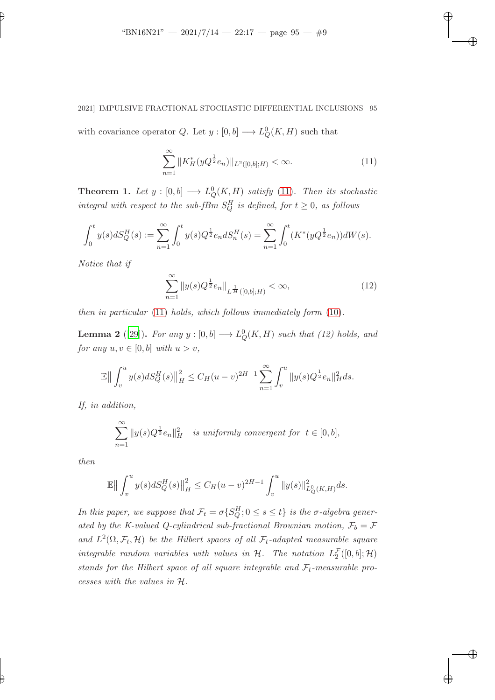# 2021] IMPULSIVE FRACTIONAL STOCHASTIC DIFFERENTIAL INCLUSIONS 95

with covariance operator Q. Let  $y: [0, b] \longrightarrow L_Q^0(K, H)$  such that

$$
\sum_{n=1}^{\infty} \|K_H^*(yQ^{\frac{1}{2}}e_n)\|_{L^2([0,b];H)} < \infty. \tag{11}
$$

<span id="page-8-0"></span>✐

✐

✐

✐

**Theorem 1.** Let  $y : [0,b] \longrightarrow L_Q^0(K,H)$  satisfy [\(11\)](#page-8-0). Then its stochastic integral with respect to the sub-fBm  $S_Q^H$  is defined, for  $t \geq 0$ , as follows

$$
\int_0^t y(s) dS_Q^H(s) := \sum_{n=1}^\infty \int_0^t y(s) Q^{\frac{1}{2}} e_n dS_n^H(s) = \sum_{n=1}^\infty \int_0^t (K^*(y Q^{\frac{1}{2}} e_n)) dW(s).
$$

Notice that if

✐

$$
\sum_{n=1}^{\infty} \|y(s)Q^{\frac{1}{2}}e_n\|_{L^{\frac{1}{H}}([0,b];H)} < \infty,
$$
\n(12)

<span id="page-8-2"></span>then in particular [\(11\)](#page-8-0) holds, which follows immediately form [\(10\)](#page-7-0).

**Lemma 2** ([\[29](#page-38-12)]). For any  $y : [0, b] \longrightarrow L_Q^0(K, H)$  such that (12) holds, and for any  $u, v \in [0, b]$  with  $u > v$ ,

$$
\mathbb{E} \big\| \int_v^u y(s) dS_Q^H(s) \big\|_H^2 \le C_H (u - v)^{2H-1} \sum_{n=1}^\infty \int_v^u \|y(s) Q^{\frac{1}{2}} e_n\|_H^2 ds.
$$

If, in addition,

$$
\sum_{n=1}^{\infty} ||y(s)Q^{\frac{1}{2}}e_n||_H^2 \quad is \text{ uniformly convergent for } t \in [0, b],
$$

then

✐

$$
\mathbb{E} \big\| \int_v^u y(s) dS_Q^H(s) \big\|_H^2 \le C_H (u-v)^{2H-1} \int_v^u \|y(s)\|_{L_Q^0(K,H)}^2 ds.
$$

<span id="page-8-1"></span>In this paper, we suppose that  $\mathcal{F}_t = \sigma\{S_Q^H; 0 \leq s \leq t\}$  is the  $\sigma$ -algebra generated by the K-valued Q-cylindrical sub-fractional Brownian motion,  $\mathcal{F}_b = \mathcal{F}$ and  $L^2(\Omega, \mathcal{F}_t, \mathcal{H})$  be the Hilbert spaces of all  $\mathcal{F}_t$ -adapted measurable square integrable random variables with values in  $H$ . The notation  $L_2^{\mathcal{F}}([0, b]; \mathcal{H})$ stands for the Hilbert space of all square integrable and  $\mathcal{F}_t$ -measurable processes with the values in H.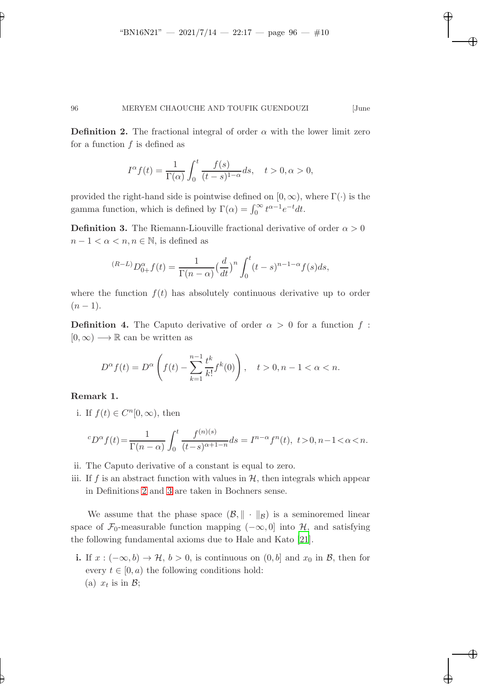✐

✐

✐

### 96 MERYEM CHAOUCHE AND TOUFIK GUENDOUZI [June

**Definition 2.** The fractional integral of order  $\alpha$  with the lower limit zero for a function  $f$  is defined as

$$
I^{\alpha}f(t) = \frac{1}{\Gamma(\alpha)} \int_0^t \frac{f(s)}{(t-s)^{1-\alpha}} ds, \quad t > 0, \alpha > 0,
$$

provided the right-hand side is pointwise defined on  $[0, \infty)$ , where  $\Gamma(\cdot)$  is the gamma function, which is defined by  $\Gamma(\alpha) = \int_0^\infty t^{\alpha-1} e^{-t} dt$ .

<span id="page-9-0"></span>**Definition 3.** The Riemann-Liouville fractional derivative of order  $\alpha > 0$  $n-1 < \alpha < n, n \in \mathbb{N}$ , is defined as

$$
^{(R-L)}D_{0+}^{\alpha}f(t) = \frac{1}{\Gamma(n-\alpha)} \left(\frac{d}{dt}\right)^n \int_0^t (t-s)^{n-1-\alpha} f(s)ds,
$$

where the function  $f(t)$  has absolutely continuous derivative up to order  $(n - 1)$ .

**Definition 4.** The Caputo derivative of order  $\alpha > 0$  for a function f:  $[0,\infty) \longrightarrow \mathbb{R}$  can be written as

$$
D^{\alpha} f(t) = D^{\alpha} \left( f(t) - \sum_{k=1}^{n-1} \frac{t^k}{k!} f^k(0) \right), \quad t > 0, n - 1 < \alpha < n.
$$

Remark 1.

✐

✐

i. If  $f(t) \in C^n[0,\infty)$ , then

$$
^cD^\alpha f(t)\!=\!\frac{1}{\Gamma(n-\alpha)}\int_0^t\frac{f^{(n)(s)}}{(t-s)^{\alpha+1-n}}ds=I^{n-\alpha}f^n(t),\ t\!>\!0,n\!-\!1\!<\!\alpha\!<\!n.
$$

- ii. The Caputo derivative of a constant is equal to zero.
- iii. If f is an abstract function with values in  $H$ , then integrals which appear in Definitions [2](#page-8-1) and [3](#page-9-0) are taken in Bochners sense.

We assume that the phase space  $(\mathcal{B}, \|\cdot\|_{\mathcal{B}})$  is a seminoremed linear space of  $\mathcal{F}_0$ -measurable function mapping  $(-\infty, 0]$  into  $\mathcal{H}$ , and satisfying the following fundamental axioms due to Hale and Kato [\[21](#page-37-14)].

i. If  $x: (-\infty, b) \rightarrow \mathcal{H}, b > 0$ , is continuous on  $(0, b]$  and  $x_0$  in  $\mathcal{B}$ , then for every  $t \in [0, a)$  the following conditions hold: (a)  $x_t$  is in  $\mathcal{B}$ ;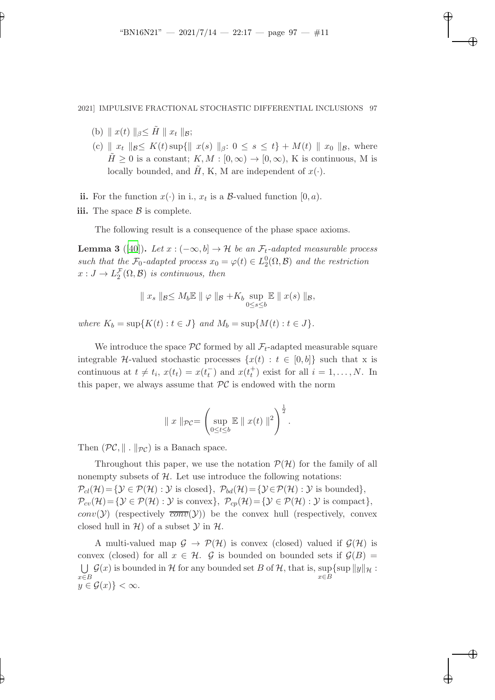✐

✐

✐

### 2021] IMPULSIVE FRACTIONAL STOCHASTIC DIFFERENTIAL INCLUSIONS 97

(b)  $|| x(t) ||_{\beta} \leq \tilde{H} || x_t ||_{\beta};$ 

✐

✐

- (c)  $\| x_t \|_{\mathcal{B}} \leq K(t) \sup\{\| x(s) \|_{\beta}: 0 \leq s \leq t\} + M(t) \| x_0 \|_{\mathcal{B}}$ , where  $\tilde{H} \geq 0$  is a constant;  $K, M : [0, \infty) \to [0, \infty)$ , K is continuous, M is locally bounded, and  $\tilde{H}$ , K, M are independent of  $x(\cdot)$ .
- ii. For the function  $x(\cdot)$  in i.,  $x_t$  is a  $\mathcal{B}\text{-valued function } [0, a)$ .
- iii. The space  $\beta$  is complete.

The following result is a consequence of the phase space axioms.

**Lemma 3** ([\[40](#page-38-13)]). Let  $x : (-\infty, b] \to \mathcal{H}$  be an  $\mathcal{F}_t$ -adapted measurable process such that the  $\mathcal{F}_0$ -adapted process  $x_0 = \varphi(t) \in L_2^0(\Omega, \mathcal{B})$  and the restriction  $x: J \to L_2^{\mathcal{F}}(\Omega, \mathcal{B})$  is continuous, then

$$
\| x_s \|_{\mathcal{B}} \leq M_b \mathbb{E} \| \varphi \|_{\mathcal{B}} + K_b \sup_{0 \leq s \leq b} \mathbb{E} \| x(s) \|_{\mathcal{B}},
$$

where  $K_b = \sup\{K(t) : t \in J\}$  and  $M_b = \sup\{M(t) : t \in J\}.$ 

We introduce the space  $\mathcal{PC}$  formed by all  $\mathcal{F}_t$ -adapted measurable square integrable H-valued stochastic processes  $\{x(t): t \in [0, b]\}$  such that x is continuous at  $t \neq t_i$ ,  $x(t_t) = x(t_t^{-})$  $t_t$ ) and  $x(t_t^+)$  exist for all  $i = 1, ..., N$ . In this paper, we always assume that  $PC$  is endowed with the norm

$$
\| x \|_{\mathcal{PC}} = \left( \sup_{0 \le t \le b} \mathbb{E} \left\| x(t) \right\|^2 \right)^{\frac{1}{2}}.
$$

Then  $(\mathcal{PC}, \|\cdot\|_{\mathcal{PC}})$  is a Banach space.

Throughout this paper, we use the notation  $\mathcal{P}(\mathcal{H})$  for the family of all nonempty subsets of  $H$ . Let use introduce the following notations:  $\mathcal{P}_{cl}(\mathcal{H}) = \{ \mathcal{Y} \in \mathcal{P}(\mathcal{H}) : \mathcal{Y} \text{ is closed} \}, \ \mathcal{P}_{bd}(\mathcal{H}) = \{ \mathcal{Y} \in \mathcal{P}(\mathcal{H}) : \mathcal{Y} \text{ is bounded} \},\$  $\mathcal{P}_{cv}(\mathcal{H}) = \{\mathcal{Y} \in \mathcal{P}(\mathcal{H}) : \mathcal{Y} \text{ is convex}\}, \ \mathcal{P}_{cp}(\mathcal{H}) = \{\mathcal{Y} \in \mathcal{P}(\mathcal{H}) : \mathcal{Y} \text{ is compact}\},\$  $conv(\mathcal{Y})$  (respectively  $\overline{conv}(\mathcal{Y})$ ) be the convex hull (respectively, convex closed hull in  $H$ ) of a subset  $\mathcal Y$  in  $H$ .

A multi-valued map  $\mathcal{G} \to \mathcal{P}(\mathcal{H})$  is convex (closed) valued if  $\mathcal{G}(\mathcal{H})$  is convex (closed) for all  $x \in \mathcal{H}$ . G is bounded on bounded sets if  $\mathcal{G}(B)$  =  $\bigcup_{n=0}^{\infty} G(x)$  is bounded in H for any bounded set B of H, that is, sup {sup  $||y||_{\mathcal{H}}$ : x∈B  $x\in \overline{B}$  $y \in \mathcal{G}(x)\}<\infty.$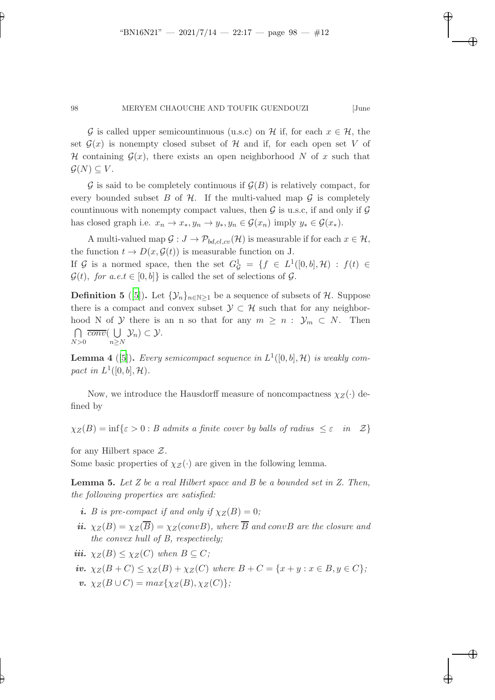✐

✐

✐

### 98 MERYEM CHAOUCHE AND TOUFIK GUENDOUZI [June

G is called upper semicountinuous (u.s.c) on H if, for each  $x \in \mathcal{H}$ , the set  $\mathcal{G}(x)$  is nonempty closed subset of H and if, for each open set V of H containing  $\mathcal{G}(x)$ , there exists an open neighborhood N of x such that  $\mathcal{G}(N) \subseteq V$ .

 $\mathcal G$  is said to be completely continuous if  $\mathcal G(B)$  is relatively compact, for every bounded subset B of H. If the multi-valued map  $\mathcal G$  is completely countinuous with nonempty compact values, then  $G$  is u.s.c, if and only if  $G$ has closed graph i.e.  $x_n \to x_*, y_n \to y_*, y_n \in \mathcal{G}(x_n)$  imply  $y_* \in \mathcal{G}(x_*)$ .

A multi-valued map  $\mathcal{G}: J \to \mathcal{P}_{bd, cl, cv}(\mathcal{H})$  is measurable if for each  $x \in \mathcal{H}$ , the function  $t \to D(x, \mathcal{G}(t))$  is measurable function on J. If G is a normed space, then the set  $G_G^1 = \{f \in L^1([0,b], \mathcal{H}) : f(t) \in$ 

<span id="page-11-2"></span> $\mathcal{G}(t)$ , for a.e.t  $\in [0, b]$  is called the set of selections of  $\mathcal{G}$ . **Definition 5** ([\[5\]](#page-36-8)). Let  $\{\mathcal{Y}_n\}_{n\in\mathbb{N}>1}$  be a sequence of subsets of H. Suppose there is a compact and convex subset  $\mathcal{Y} \subset \mathcal{H}$  such that for any neighbor-

hood N of Y there is an n so that for any  $m \geq n$ :  $\mathcal{Y}_m \subset N$ . Then ⋂  $N>0$  $\overline{conv}(\ \bigcup$  $\bigcup_{n\geq N} \mathcal{Y}_n$ )  $\subset \mathcal{Y}$ .

<span id="page-11-0"></span>**Lemma 4** ([\[5](#page-36-8)]). Every semicompact sequence in  $L^1([0,b], \mathcal{H})$  is weakly compact in  $L^1([0,b], \mathcal{H})$ .

Now, we introduce the Hausdorff measure of noncompactness  $\chi_Z(\cdot)$  defined by

 $\chi_Z(B) = \inf\{\varepsilon > 0 : B \text{ admits a finite cover by balls of radius } \leq \varepsilon \text{ in } \mathcal{Z}\}\$ 

for any Hilbert space  $\mathcal{Z}$ .

✐

✐

<span id="page-11-1"></span>Some basic properties of  $\chi_{\mathcal{Z}}(\cdot)$  are given in the following lemma.

**Lemma 5.** Let  $Z$  be a real Hilbert space and  $B$  be a bounded set in  $Z$ . Then, the following properties are satisfied:

- i. B is pre-compact if and only if  $\chi_Z(B) = 0$ ;
- ii.  $\chi_Z(B) = \chi_Z(\overline{B}) = \chi_Z(convB)$ , where  $\overline{B}$  and convB are the closure and the convex hull of B, respectively;

iii.  $\chi_Z(B) \leq \chi_Z(C)$  when  $B \subseteq C$ ;

- iv.  $\chi_Z(B+C) \leq \chi_Z(B) + \chi_Z(C)$  where  $B+C = \{x+y : x \in B, y \in C\}$ ;
- $v. \ \chi_Z(B \cup C) = max\{\chi_Z(B), \chi_Z(C)\};$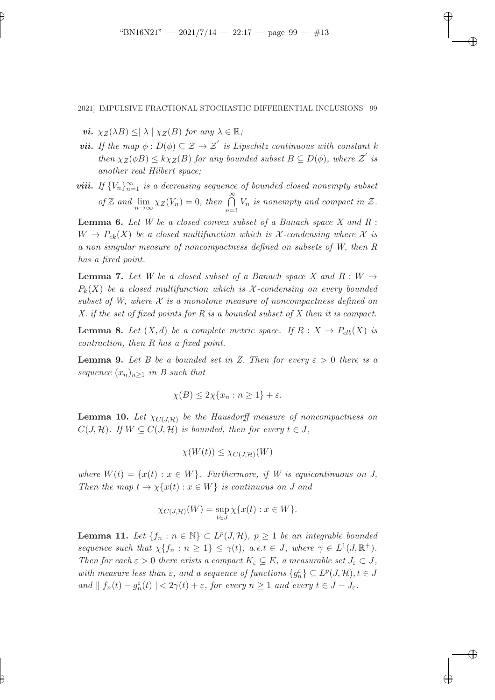✐

✐

✐

2021] IMPULSIVE FRACTIONAL STOCHASTIC DIFFERENTIAL INCLUSIONS 99

vi.  $\chi_Z(\lambda B) \leq |\lambda| \chi_Z(B)$  for any  $\lambda \in \mathbb{R}$ ;

✐

✐

- **vii.** If the map  $\phi: D(\phi) \subseteq \mathcal{Z} \to \mathcal{Z}'$  is Lipschitz continuous with constant k then  $\chi_Z(\phi B) \leq k \chi_Z(B)$  for any bounded subset  $B \subseteq D(\phi)$ , where  $\mathcal{Z}'$  is another real Hilbert space;
- **viii.** If  ${V_n}_{n=1}^{\infty}$  is a decreasing sequence of bounded closed nonempty subset of Z and  $\lim_{n\to\infty} \chi_Z(V_n) = 0$ , then  $\bigcap_{n=1}^{\infty}$  $\bigcap_{n=1} V_n$  is nonempty and compact in  $\mathcal{Z}$ .

<span id="page-12-3"></span>**Lemma 6.** Let  $W$  be a closed convex subset of a Banach space  $X$  and  $R$ :  $W \to P_{ck}(X)$  be a closed multifunction which is X-condensing where X is a non singular measure of noncompactness defined on subsets of W, then R has a fixed point.

<span id="page-12-0"></span>**Lemma 7.** Let W be a closed subset of a Banach space X and  $R: W \rightarrow$  $P_k(X)$  be a closed multifunction which is X-condensing on every bounded subset of W, where  $\mathcal X$  is a monotone measure of noncompactness defined on X. if the set of fixed points for R is a bounded subset of X then it is compact.

**Lemma 8.** Let  $(X,d)$  be a complete metric space. If  $R: X \to P_{clb}(X)$  is contraction, then R has a fixed point.

<span id="page-12-1"></span>**Lemma 9.** Let B be a bounded set in Z. Then for every  $\varepsilon > 0$  there is a sequence  $(x_n)_{n\geq 1}$  in B such that

$$
\chi(B) \le 2\chi\{x_n : n \ge 1\} + \varepsilon.
$$

**Lemma 10.** Let  $\chi_{C(J,H)}$  be the Hausdorff measure of noncompactness on  $C(J, \mathcal{H})$ . If  $W \subseteq C(J, \mathcal{H})$  is bounded, then for every  $t \in J$ ,

$$
\chi(W(t)) \leq \chi_{C(J,\mathcal{H})}(W)
$$

where  $W(t) = \{x(t) : x \in W\}$ . Furthermore, if W is equicontinuous on J, Then the map  $t \to \chi\{x(t): x \in W\}$  is continuous on J and

$$
\chi_{C(J,\mathcal{H})}(W) = \sup_{t \in J} \chi\{x(t) : x \in W\}.
$$

<span id="page-12-2"></span>**Lemma 11.** Let  $\{f_n : n \in \mathbb{N}\} \subset L^p(J, \mathcal{H}), p \geq 1$  be an integrable bounded sequence such that  $\chi\{f_n : n \geq 1\} \leq \gamma(t)$ , a.e.t  $\in J$ , where  $\gamma \in L^1(J, \mathbb{R}^+)$ . Then for each  $\varepsilon > 0$  there exists a compact  $K_{\varepsilon} \subseteq E$ , a measurable set  $J_{\varepsilon} \subset J$ , with measure less than  $\varepsilon$ , and a sequence of functions  $\{g_n^{\varepsilon}\}\subseteq L^p(J,\mathcal{H}), t\in J$ and  $|| f_n(t) - g_n^{\varepsilon}(t) || < 2\gamma(t) + \varepsilon$ , for every  $n \geq 1$  and every  $t \in J - J_{\varepsilon}$ .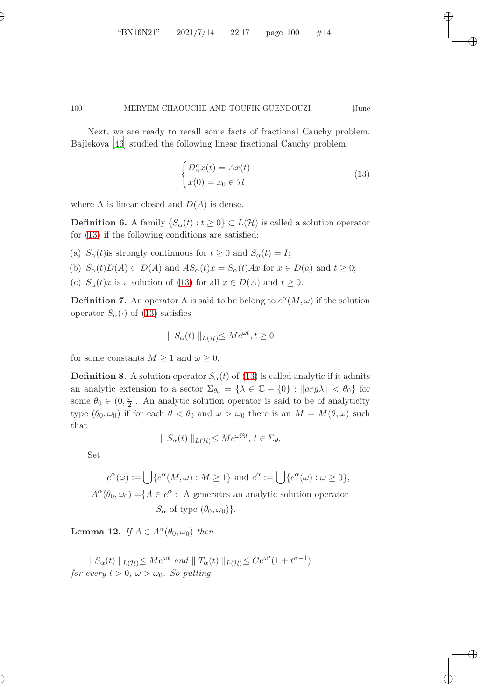Next, we are ready to recall some facts of fractional Cauchy problem. Bajlekova [\[46\]](#page-39-5) studied the following linear fractional Cauchy problem

$$
\begin{cases}\nD_{\alpha}^{c}x(t) = Ax(t) \\
x(0) = x_0 \in \mathcal{H}\n\end{cases}
$$
\n(13)

✐

✐

✐

<span id="page-13-0"></span>✐

where A is linear closed and  $D(A)$  is dense.

**Definition 6.** A family  $\{S_{\alpha}(t): t \geq 0\} \subset L(\mathcal{H})$  is called a solution operator for [\(13\)](#page-13-0) if the following conditions are satisfied:

- (a)  $S_{\alpha}(t)$  is strongly continuous for  $t \geq 0$  and  $S_{\alpha}(t) = I$ ;
- (b)  $S_{\alpha}(t)D(A) \subset D(A)$  and  $AS_{\alpha}(t)x = S_{\alpha}(t)Ax$  for  $x \in D(a)$  and  $t \geq 0$ ;
- (c)  $S_{\alpha}(t)x$  is a solution of [\(13\)](#page-13-0) for all  $x \in D(A)$  and  $t \geq 0$ .

**Definition 7.** An operator A is said to be belong to  $e^{\alpha}(M,\omega)$  if the solution operator  $S_{\alpha}(\cdot)$  of [\(13\)](#page-13-0) satisfies

$$
\parallel S_{\alpha}(t) \parallel_{L(\mathcal{H})} \leq Me^{\omega t}, t \geq 0
$$

for some constants  $M \geq 1$  and  $\omega \geq 0$ .

**Definition 8.** A solution operator  $S_{\alpha}(t)$  of [\(13\)](#page-13-0) is called analytic if it admits an analytic extension to a sector  $\Sigma_{\theta_0} = {\lambda \in \mathbb{C} - \{0\} : ||arg \lambda|| < \theta_0}$  for some  $\theta_0 \in (0, \frac{\pi}{2})$  $\frac{\pi}{2}$ . An analytic solution operator is said to be of analyticity type  $(\theta_0, \omega_0)$  if for each  $\theta < \theta_0$  and  $\omega > \omega_0$  there is an  $M = M(\theta, \omega)$  such that

$$
\| S_{\alpha}(t) \|_{L(\mathcal{H})} \le M e^{\omega \mathfrak{R}t}, \, t \in \Sigma_{\theta}.
$$

Set

✐

✐

$$
e^{\alpha}(\omega) := \bigcup \{ e^{\alpha}(M, \omega) : M \ge 1 \} \text{ and } e^{\alpha} := \bigcup \{ e^{\alpha}(\omega) : \omega \ge 0 \},
$$

 $A^{\alpha}(\theta_0, \omega_0) = \{ A \in e^{\alpha} : A$  generates an analytic solution operator  $S_{\alpha}$  of type  $(\theta_0, \omega_0)$ .

**Lemma 12.** If  $A \in A^{\alpha}(\theta_0, \omega_0)$  then

 $\|S_{\alpha}(t)\|_{L(\mathcal{H})} \leq Me^{\omega t}$  and  $\|T_{\alpha}(t)\|_{L(\mathcal{H})} \leq Ce^{\omega t}(1+t^{\alpha-1})$ for every  $t > 0$ ,  $\omega > \omega_0$ . So putting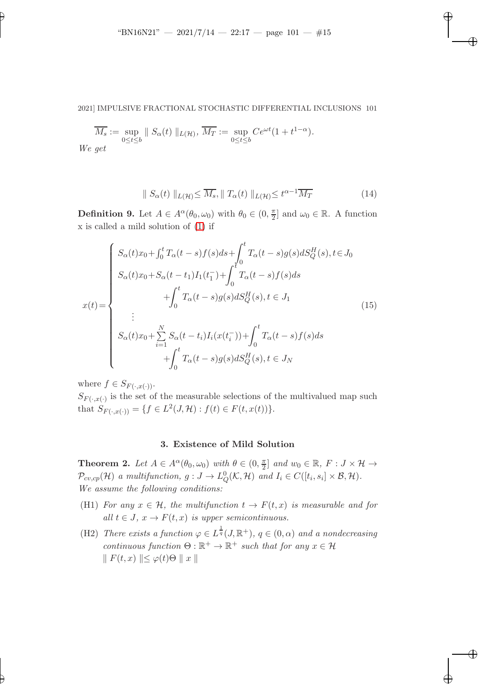2021] IMPULSIVE FRACTIONAL STOCHASTIC DIFFERENTIAL INCLUSIONS 101

$$
\overline{M_s} := \sup_{0 \le t \le b} \| S_\alpha(t) \|_{L(\mathcal{H})}, \overline{M_T} := \sup_{0 \le t \le b} C e^{\omega t} (1 + t^{1-\alpha}).
$$
  
We get

<span id="page-14-0"></span> $\boldsymbol{W}$ 

✐

✐

$$
\| S_{\alpha}(t) \|_{L(\mathcal{H})} \le \overline{M_s}, \| T_{\alpha}(t) \|_{L(\mathcal{H})} \le t^{\alpha - 1} \overline{M_T}
$$
 (14)

✐

✐

✐

✐

**Definition 9.** Let  $A \in A^{\alpha}(\theta_0, \omega_0)$  with  $\theta_0 \in (0, \frac{\pi}{2})$  $\frac{\pi}{2}$  and  $\omega_0 \in \mathbb{R}$ . A function x is called a mild solution of [\(1\)](#page-2-0) if

$$
x(t) = \begin{cases} S_{\alpha}(t)x_{0} + \int_{0}^{t} T_{\alpha}(t-s)f(s)ds + \int_{0}^{t} T_{\alpha}(t-s)g(s)dS_{Q}^{H}(s), t \in J_{0} \\ S_{\alpha}(t)x_{0} + S_{\alpha}(t-t_{1})I_{1}(t_{1}^{-}) + \int_{0}^{t} T_{\alpha}(t-s)f(s)ds \\ + \int_{0}^{t} T_{\alpha}(t-s)g(s)dS_{Q}^{H}(s), t \in J_{1} \\ \vdots \\ S_{\alpha}(t)x_{0} + \sum_{i=1}^{N} S_{\alpha}(t-t_{i})I_{i}(x(t_{i}^{-})) + \int_{0}^{t} T_{\alpha}(t-s)f(s)ds \\ + \int_{0}^{t} T_{\alpha}(t-s)g(s)dS_{Q}^{H}(s), t \in J_{N} \end{cases}
$$
(15)

where  $f \in S_{F(\cdot,x(\cdot))}$ .

 $S_{F(\cdot,x(\cdot))}$  is the set of the measurable selections of the multivalued map such that  $S_{F(\cdot,x(\cdot))} = \{ f \in L^2(J,\mathcal{H}) : f(t) \in F(t,x(t)) \}.$ 

# 3. Existence of Mild Solution

**Theorem 2.** Let  $A \in A^{\alpha}(\theta_0, \omega_0)$  with  $\theta \in (0, \frac{\pi}{2})$  $\frac{\pi}{2}$  and  $w_0 \in \mathbb{R}$ ,  $F: J \times \mathcal{H} \to$  $\mathcal{P}_{cv,cp}(\mathcal{H})$  a multifunction,  $g: J \to L^0_Q(\mathcal{K}, \mathcal{H})$  and  $I_i \in C([t_i, s_i] \times \mathcal{B}, \mathcal{H})$ . We assume the following conditions:

- (H1) For any  $x \in \mathcal{H}$ , the multifunction  $t \to F(t, x)$  is measurable and for all  $t \in J$ ,  $x \to F(t, x)$  is upper semicontinuous.
- (H2) There exists a function  $\varphi \in L^{\frac{1}{q}}(J,\mathbb{R}^{+})$ ,  $q \in (0,\alpha)$  and a nondecreasing continuous function  $\Theta : \mathbb{R}^+ \to \mathbb{R}^+$  such that for any  $x \in \mathcal{H}$  $\Vert F(t, x) \Vert \leq \varphi(t) \Theta \Vert x \Vert$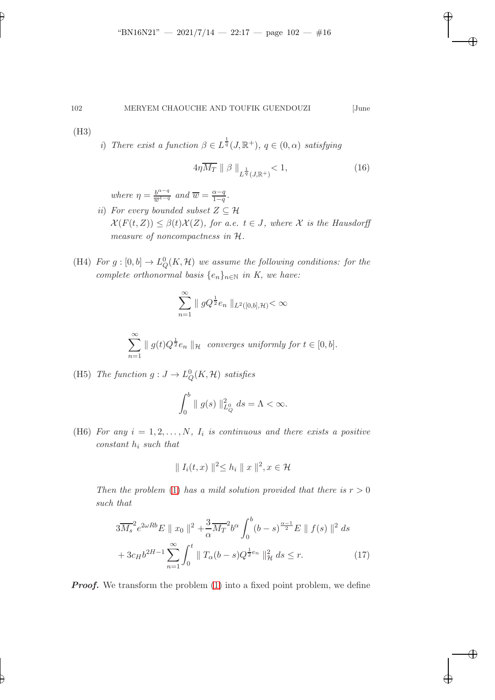<span id="page-15-1"></span>

✐

<span id="page-15-0"></span>✐

✐

✐

(H3)

✐

✐

i) There exist a function  $\beta \in L^{\frac{1}{q}}(J,\mathbb{R}^{+}), q \in (0,\alpha)$  satisfying

$$
4\eta \overline{M_T} \parallel \beta \parallel_{L^{\frac{1}{q}}(J,\mathbb{R}^+)} < 1,
$$
\n(16)

where  $\eta = \frac{b^{\alpha-q}}{\overline{w}^{1-q}}$  and  $\overline{w} = \frac{\alpha-q}{1-q}$  $\frac{\alpha-q}{1-q}$ .

- ii) For every bounded subset  $Z \subseteq \mathcal{H}$  $\mathcal{X}(F(t, Z)) \leq \beta(t)\mathcal{X}(Z)$ , for a.e.  $t \in J$ , where X is the Hausdorff measure of noncompactness in H.
- (H4) For  $g: [0, b] \to L^0_Q(K, \mathcal{H})$  we assume the following conditions: for the complete orthonormal basis  $\{e_n\}_{n\in\mathbb{N}}$  in K, we have:

$$
\sum_{n=1}^{\infty} \| gQ^{\frac{1}{2}} e_n \|_{L^2([0,b],\mathcal{H})} < \infty
$$

$$
\sum_{n=1}^{\infty} \parallel g(t)Q^{\frac{1}{2}}e_n \parallel_{\mathcal{H}} \text{ converges uniformly for } t \in [0, b].
$$

(H5) The function  $g: J \to L^0_Q(K, \mathcal{H})$  satisfies

$$
\int_0^b \| g(s) \|_{L_Q^0}^2 ds = \Lambda < \infty.
$$

(H6) For any  $i = 1, 2, ..., N$ ,  $I_i$  is continuous and there exists a positive  $constant$   $h_i$  such that

$$
\| I_i(t, x) \|^2 \le h_i \| x \|^2, x \in \mathcal{H}
$$

Then the problem [\(1\)](#page-2-0) has a mild solution provided that there is  $r > 0$ such that

$$
3\overline{M_s}^2 e^{2\omega R b} E \parallel x_0 \parallel^2 + \frac{3}{\alpha} \overline{M_T}^2 b^{\alpha} \int_0^b (b-s)^{\frac{\alpha-1}{2}} E \parallel f(s) \parallel^2 ds
$$
  
+  $3c_H b^{2H-1} \sum_{n=1}^{\infty} \int_0^t \parallel T_\alpha (b-s) Q^{\frac{1}{2}e_n} \parallel^2_{\mathcal{H}} ds \le r.$  (17)

**Proof.** We transform the problem  $(1)$  into a fixed point problem, we define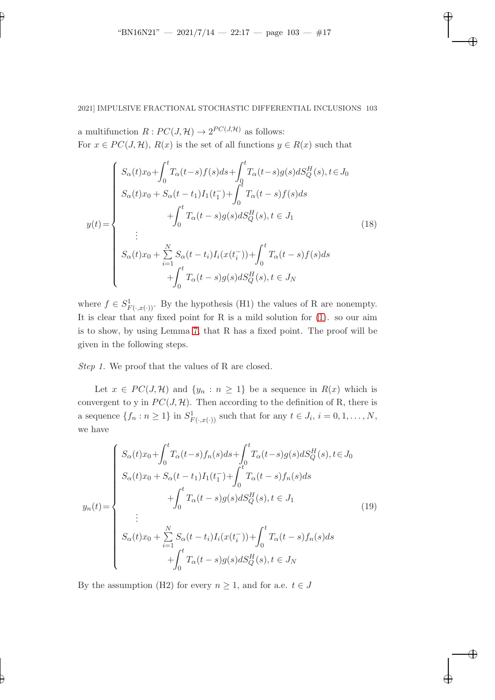✐

✐

✐

✐

✐

# 2021] IMPULSIVE FRACTIONAL STOCHASTIC DIFFERENTIAL INCLUSIONS 103

a multifunction  $R: PC(J, \mathcal{H}) \to 2^{PC(J, \mathcal{H})}$  as follows: For  $x \in PC(J, \mathcal{H})$ ,  $R(x)$  is the set of all functions  $y \in R(x)$  such that

$$
y(t) = \begin{cases} S_{\alpha}(t)x_{0} + \int_{0}^{t} T_{\alpha}(t-s)f(s)ds + \int_{0}^{t} T_{\alpha}(t-s)g(s)dS_{Q}^{H}(s), t \in J_{0} \\ S_{\alpha}(t)x_{0} + S_{\alpha}(t-t_{1})I_{1}(t_{1}^{-}) + \int_{0}^{t} T_{\alpha}(t-s)f(s)ds \\ + \int_{0}^{t} T_{\alpha}(t-s)g(s)dS_{Q}^{H}(s), t \in J_{1} \\ \vdots \\ S_{\alpha}(t)x_{0} + \sum_{i=1}^{N} S_{\alpha}(t-t_{i})I_{i}(x(t_{i}^{-})) + \int_{0}^{t} T_{\alpha}(t-s)f(s)ds \\ + \int_{0}^{t} T_{\alpha}(t-s)g(s)dS_{Q}^{H}(s), t \in J_{N} \end{cases}
$$
(18)

where  $f \in S^1_{F(\cdot,x(\cdot))}$ . By the hypothesis (H1) the values of R are nonempty. It is clear that any fixed point for R is a mild solution for [\(1\)](#page-2-0). so our aim is to show, by using Lemma [7,](#page-12-0) that R has a fixed point. The proof will be given in the following steps.

Step 1. We proof that the values of R are closed.

Let  $x \in PC(J, \mathcal{H})$  and  $\{y_n : n \geq 1\}$  be a sequence in  $R(x)$  which is convergent to y in  $PC(J, H)$ . Then according to the definition of R, there is a sequence  $\{f_n : n \geq 1\}$  in  $S^1_{F(\cdot,x(\cdot))}$  such that for any  $t \in J_i$ ,  $i = 0, 1, ..., N$ , we have

<span id="page-16-0"></span>
$$
y_n(t) = \begin{cases} S_{\alpha}(t)x_0 + \int_0^t T_{\alpha}(t-s)f_n(s)ds + \int_0^t T_{\alpha}(t-s)g(s) dS_Q^H(s), t \in J_0 \\ S_{\alpha}(t)x_0 + S_{\alpha}(t-t_1)I_1(t_1^-) + \int_0^t T_{\alpha}(t-s)f_n(s) ds \\ + \int_0^t T_{\alpha}(t-s)g(s) dS_Q^H(s), t \in J_1 \\ \vdots \\ S_{\alpha}(t)x_0 + \sum_{i=1}^N S_{\alpha}(t-t_i)I_i(x(t_i^-)) + \int_0^t T_{\alpha}(t-s)f_n(s) ds \\ + \int_0^t T_{\alpha}(t-s)g(s) dS_Q^H(s), t \in J_N \end{cases} \tag{19}
$$

By the assumption (H2) for every  $n \geq 1$ , and for a.e.  $t \in J$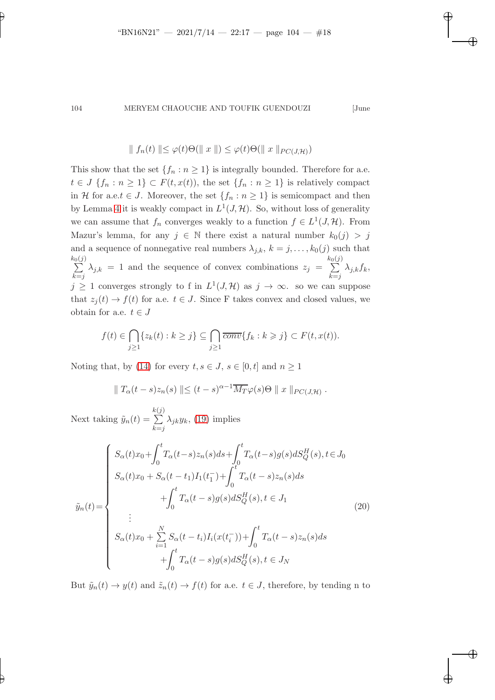✐

### 104 MERYEM CHAOUCHE AND TOUFIK GUENDOUZI [June

✐

✐

✐

✐

$$
\| f_n(t) \| \leq \varphi(t) \Theta(\| x \|) \leq \varphi(t) \Theta(\| x \|_{PC(J,\mathcal{H})})
$$

This show that the set  $\{f_n : n \geq 1\}$  is integrally bounded. Therefore for a.e.  $t \in J \{f_n : n \geq 1\} \subset F(t, x(t))$ , the set  $\{f_n : n \geq 1\}$  is relatively compact in H for a.e.t  $\in J$ . Moreover, the set  $\{f_n : n \geq 1\}$  is semicompact and then by Lemma [4](#page-11-0) it is weakly compact in  $L^1(J, \mathcal{H})$ . So, without loss of generality we can assume that  $f_n$  converges weakly to a function  $f \in L^1(J, \mathcal{H})$ . From Mazur's lemma, for any  $j \in \mathbb{N}$  there exist a natural number  $k_0(j) > j$ and a sequence of nonnegative real numbers  $\lambda_{j,k}, k = j, \ldots, k_0(j)$  such that  $\sum_{i=1}^{k_0(j)}$  $k = j$  $\lambda_{j,k} = 1$  and the sequence of convex combinations  $z_j =$  $\sum_{i=1}^{k_0(j)}$  $k = j$  $\lambda_{j,k}f_k,$  $j \geq 1$  converges strongly to f in  $L^1(J, \mathcal{H})$  as  $j \to \infty$ . so we can suppose that  $z_i(t) \to f(t)$  for a.e.  $t \in J$ . Since F takes convex and closed values, we obtain for a.e.  $t \in J$ 

$$
f(t) \in \bigcap_{j\geq 1} \{z_k(t) : k \geq j\} \subseteq \bigcap_{j\geq 1} \overline{conv} \{f_k : k \geq j\} \subset F(t, x(t)).
$$

Noting that, by [\(14\)](#page-14-0) for every  $t, s \in J$ ,  $s \in [0, t]$  and  $n \ge 1$ 

<span id="page-17-0"></span>
$$
\|T_{\alpha}(t-s)z_{n}(s)\| \leq (t-s)^{\alpha-1}\overline{M_{T}}\varphi(s)\Theta \|x\|_{PC(J,\mathcal{H})}.
$$

Next taking  $\tilde{y}_n(t) =$ k  $\sum$  $(j)$  $k = j$  $\lambda_{jk}y_k$ , [\(19\)](#page-16-0) implies

$$
\tilde{y}_n(t) = \begin{cases}\nS_{\alpha}(t)x_0 + \int_0^t T_{\alpha}(t-s)z_n(s)ds + \int_0^t T_{\alpha}(t-s)g(s)ds \frac{H}{Q}(s), t \in J_0 \\
S_{\alpha}(t)x_0 + S_{\alpha}(t-t_1)I_1(t_1^-) + \int_0^t T_{\alpha}(t-s)z_n(s)ds \\
+ \int_0^t T_{\alpha}(t-s)g(s)ds \frac{H}{Q}(s), t \in J_1 \\
\vdots \\
S_{\alpha}(t)x_0 + \sum_{i=1}^N S_{\alpha}(t-t_i)I_i(x(t_i^-)) + \int_0^t T_{\alpha}(t-s)z_n(s)ds \\
+ \int_0^t T_{\alpha}(t-s)g(s)ds \frac{H}{Q}(s), t \in J_N\n\end{cases} \tag{20}
$$

But  $\tilde{y}_n(t) \to y(t)$  and  $\tilde{z}_n(t) \to f(t)$  for a.e.  $t \in J$ , therefore, by tending n to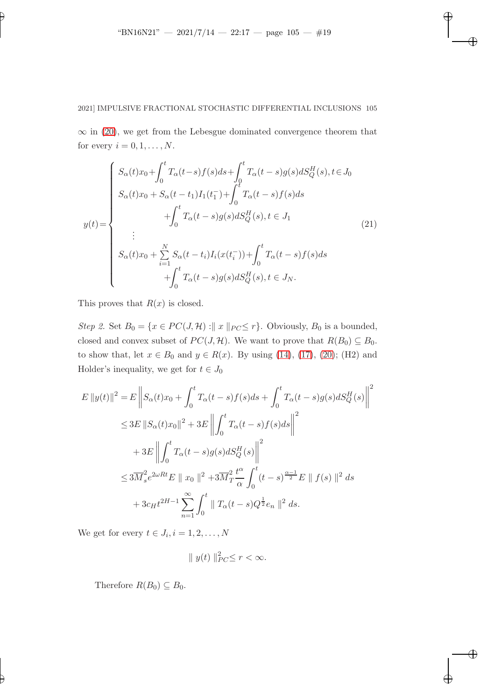✐

✐

✐

# 2021] IMPULSIVE FRACTIONAL STOCHASTIC DIFFERENTIAL INCLUSIONS 105

 $\infty$  in [\(20\)](#page-17-0), we get from the Lebesgue dominated convergence theorem that for every  $i = 0, 1, \ldots, N$ .

$$
y(t) = \begin{cases} S_{\alpha}(t)x_{0} + \int_{0}^{t} T_{\alpha}(t-s)f(s)ds + \int_{0}^{t} T_{\alpha}(t-s)g(s)dS_{Q}^{H}(s), t \in J_{0} \\ S_{\alpha}(t)x_{0} + S_{\alpha}(t-t_{1})I_{1}(t_{1}^{-}) + \int_{0}^{t} T_{\alpha}(t-s)f(s)ds \\ + \int_{0}^{t} T_{\alpha}(t-s)g(s)dS_{Q}^{H}(s), t \in J_{1} \\ \vdots \\ S_{\alpha}(t)x_{0} + \sum_{i=1}^{N} S_{\alpha}(t-t_{i})I_{i}(x(t_{i}^{-})) + \int_{0}^{t} T_{\alpha}(t-s)f(s)ds \\ + \int_{0}^{t} T_{\alpha}(t-s)g(s)dS_{Q}^{H}(s), t \in J_{N} .\end{cases}
$$
(21)

This proves that  $R(x)$  is closed.

✐

✐

Step 2. Set  $B_0 = \{x \in PC(J, \mathcal{H}) : || x ||_{PC} \leq r\}$ . Obviously,  $B_0$  is a bounded, closed and convex subset of  $PC(J, H)$ . We want to prove that  $R(B_0) \subseteq B_0$ . to show that, let  $x \in B_0$  and  $y \in R(x)$ . By using [\(14\)](#page-14-0), [\(17\)](#page-15-0), [\(20\)](#page-17-0); (H2) and Holder's inequality, we get for  $t \in J_0$ 

$$
E ||y(t)||^2 = E \left\| S_{\alpha}(t)x_0 + \int_0^t T_{\alpha}(t-s)f(s)ds + \int_0^t T_{\alpha}(t-s)g(s) dS_Q^H(s) \right\|^2
$$
  
\n
$$
\leq 3E ||S_{\alpha}(t)x_0||^2 + 3E \left\| \int_0^t T_{\alpha}(t-s)f(s)ds \right\|^2
$$
  
\n
$$
+ 3E \left\| \int_0^t T_{\alpha}(t-s)g(s) dS_Q^H(s) \right\|^2
$$
  
\n
$$
\leq 3\overline{M}_s^2 e^{2\omega R t} E ||x_0||^2 + 3\overline{M}_T^2 \frac{t^{\alpha}}{\alpha} \int_0^t (t-s)^{\frac{\alpha-1}{2}} E ||f(s)||^2 ds
$$
  
\n
$$
+ 3c_H t^{2H-1} \sum_{n=1}^\infty \int_0^t ||T_{\alpha}(t-s)Q^{\frac{1}{2}} e_n||^2 ds.
$$

We get for every  $t \in J_i, i = 1, 2, \ldots, N$ 

$$
\|y(t)\|_{PC}^2 \le r < \infty.
$$

Therefore  $R(B_0) \subseteq B_0$ .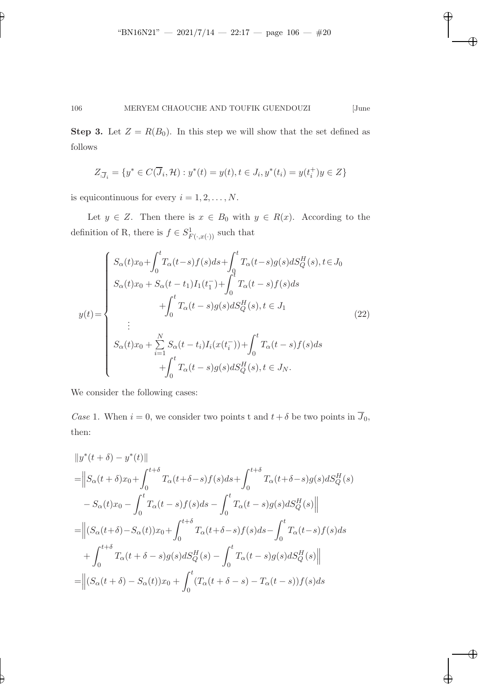✐

✐

✐

106 MERYEM CHAOUCHE AND TOUFIK GUENDOUZI [June

**Step 3.** Let  $Z = R(B_0)$ . In this step we will show that the set defined as follows

$$
Z_{\overline{J}_i} = \{ y^* \in C(\overline{J}_i, \mathcal{H}) : y^*(t) = y(t), t \in J_i, y^*(t_i) = y(t_i^+)y \in Z \}
$$

is equicontinuous for every  $i = 1, 2, \ldots, N$ .

✐

✐

Let  $y \in Z$ . Then there is  $x \in B_0$  with  $y \in R(x)$ . According to the definition of R, there is  $f \in S^1_{F(\cdot,x(\cdot))}$  such that

$$
y(t) = \begin{cases} S_{\alpha}(t)x_{0} + \int_{0}^{t} T_{\alpha}(t-s)f(s)ds + \int_{0}^{t} T_{\alpha}(t-s)g(s)dS_{Q}^{H}(s), t \in J_{0} \\ S_{\alpha}(t)x_{0} + S_{\alpha}(t-t_{1})I_{1}(t_{1}^{-}) + \int_{0}^{t} T_{\alpha}(t-s)f(s)ds \\ + \int_{0}^{t} T_{\alpha}(t-s)g(s)dS_{Q}^{H}(s), t \in J_{1} \\ \vdots \\ S_{\alpha}(t)x_{0} + \sum_{i=1}^{N} S_{\alpha}(t-t_{i})I_{i}(x(t_{i}^{-})) + \int_{0}^{t} T_{\alpha}(t-s)f(s)ds \\ + \int_{0}^{t} T_{\alpha}(t-s)g(s)dS_{Q}^{H}(s), t \in J_{N} . \end{cases} (22)
$$

We consider the following cases:

Case 1. When  $i = 0$ , we consider two points t and  $t + \delta$  be two points in  $\overline{J}_0$ , then:

$$
||y^*(t + \delta) - y^*(t)||
$$
  
\n=
$$
||S_{\alpha}(t + \delta)x_0 + \int_0^{t+\delta} T_{\alpha}(t+\delta-s)f(s)ds + \int_0^{t+\delta} T_{\alpha}(t+\delta-s)g(s)dS_Q^H(s)
$$
  
\n
$$
-S_{\alpha}(t)x_0 - \int_0^t T_{\alpha}(t-s)f(s)ds - \int_0^t T_{\alpha}(t-s)g(s)dS_Q^H(s)||
$$
  
\n=
$$
||(S_{\alpha}(t+\delta)-S_{\alpha}(t))x_0 + \int_0^{t+\delta} T_{\alpha}(t+\delta-s)f(s)ds - \int_0^t T_{\alpha}(t-s)f(s)ds
$$
  
\n
$$
+ \int_0^{t+\delta} T_{\alpha}(t+\delta-s)g(s)dB_Q^H(s) - \int_0^t T_{\alpha}(t-s)g(s)dB_Q^H(s)||
$$
  
\n=
$$
||(S_{\alpha}(t+\delta)-S_{\alpha}(t))x_0 + \int_0^t (T_{\alpha}(t+\delta-s)-T_{\alpha}(t-s))f(s)ds
$$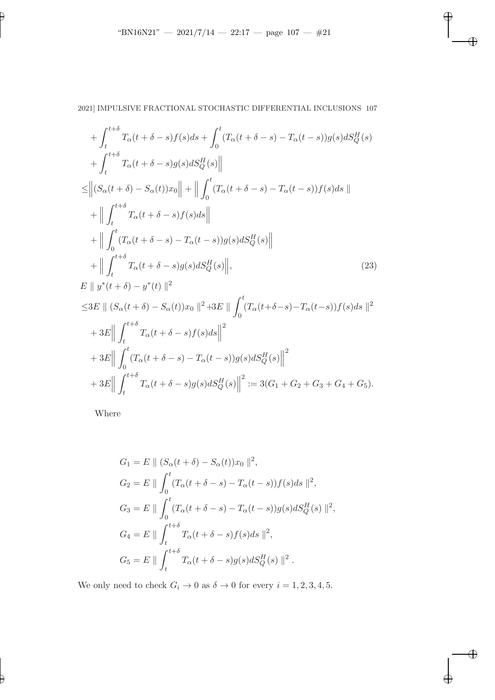<span id="page-20-0"></span> $\bigoplus$ 

✐

✐

 $\bigoplus$ 

2021] IMPULSIVE FRACTIONAL STOCHASTIC DIFFERENTIAL INCLUSIONS 107

$$
+\int_{t}^{t+\delta} T_{\alpha}(t+\delta-s)f(s)ds + \int_{0}^{t} (T_{\alpha}(t+\delta-s) - T_{\alpha}(t-s))g(s) dS_{Q}^{H}(s)
$$
  
+ 
$$
\int_{t}^{t+\delta} T_{\alpha}(t+\delta-s)g(s) dS_{Q}^{H}(s) \parallel
$$
  

$$
\leq \left\| (S_{\alpha}(t+\delta) - S_{\alpha}(t))x_{0} \right\| + \left\| \int_{0}^{t} (T_{\alpha}(t+\delta-s) - T_{\alpha}(t-s))f(s) ds \right\|
$$
  
+ 
$$
\left\| \int_{t}^{t+\delta} T_{\alpha}(t+\delta-s) f(s) ds \right\|
$$
  
+ 
$$
\left\| \int_{0}^{t} (T_{\alpha}(t+\delta-s) - T_{\alpha}(t-s))g(s) dS_{Q}^{H}(s) \right\|
$$
  
+ 
$$
\left\| \int_{t}^{t+\delta} T_{\alpha}(t+\delta-s)g(s) dS_{Q}^{H}(s) \right\|,
$$
  

$$
E \parallel y^{*}(t+\delta) - y^{*}(t) \parallel^{2}
$$
  

$$
\leq 3E \parallel (S_{\alpha}(t+\delta) - S_{\alpha}(t))x_{0} \parallel^{2} + 3E \parallel \int_{0}^{t} (T_{\alpha}(t+\delta-s) - T_{\alpha}(t-s))f(s) ds \parallel^{2}
$$

$$
+3E\Big\|\int_{t}^{t+\delta}T_{\alpha}(t+\delta-s)f(s)ds\Big\|^2
$$
  
+3E\Big\|\int\_{0}^{t}(T\_{\alpha}(t+\delta-s)-T\_{\alpha}(t-s))g(s)ds\_{Q}^H(s)\Big\|^2  
+3E\Big\|\int\_{t}^{t+\delta}T\_{\alpha}(t+\delta-s)g(s)dS\_{Q}^H(s)\Big\|^2:=3(G\_1+G\_2+G\_3+G\_4+G\_5).

Where

✐

✐

$$
G_1 = E || (S_{\alpha}(t + \delta) - S_{\alpha}(t))x_0 ||^2,
$$
  
\n
$$
G_2 = E || \int_0^t (T_{\alpha}(t + \delta - s) - T_{\alpha}(t - s))f(s)ds ||^2,
$$
  
\n
$$
G_3 = E || \int_0^t (T_{\alpha}(t + \delta - s) - T_{\alpha}(t - s))g(s) dS_Q^H(s) ||^2,
$$
  
\n
$$
G_4 = E || \int_t^{t + \delta} T_{\alpha}(t + \delta - s)f(s) ds ||^2,
$$
  
\n
$$
G_5 = E || \int_t^{t + \delta} T_{\alpha}(t + \delta - s)g(s) dS_Q^H(s) ||^2.
$$

We only need to check  $G_i \to 0$  as  $\delta \to 0$  for every  $i = 1, 2, 3, 4, 5$ .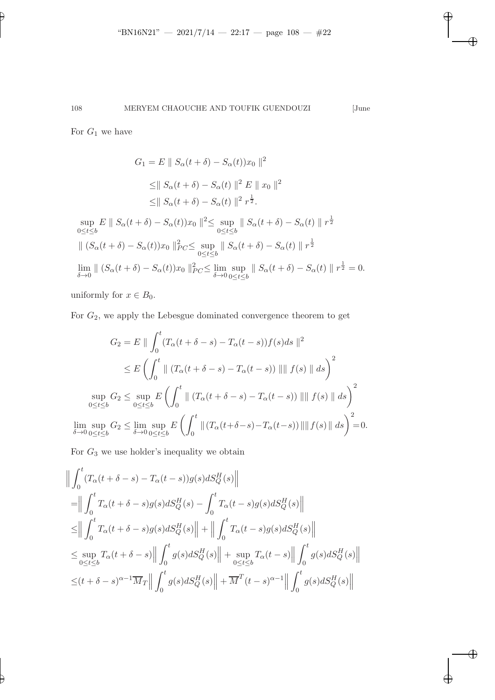$\overline{\oplus}$ 

✐

✐

✐

For  $G_1$  we have

✐

✐

$$
G_1 = E \| S_{\alpha}(t + \delta) - S_{\alpha}(t))x_0 \|^2
$$
  
\n
$$
\leq \| S_{\alpha}(t + \delta) - S_{\alpha}(t) \|^2 E \| x_0 \|^2
$$
  
\n
$$
\leq \| S_{\alpha}(t + \delta) - S_{\alpha}(t) \|^2 r^{\frac{1}{2}}.
$$
  
\n
$$
\sup_{0 \leq t \leq b} E \| S_{\alpha}(t + \delta) - S_{\alpha}(t))x_0 \|^2 \leq \sup_{0 \leq t \leq b} \| S_{\alpha}(t + \delta) - S_{\alpha}(t) \|^2 r^{\frac{1}{2}}
$$
  
\n
$$
\| (S_{\alpha}(t + \delta) - S_{\alpha}(t))x_0 \|^2_{PC} \leq \sup_{0 \leq t \leq b} \| S_{\alpha}(t + \delta) - S_{\alpha}(t) \|^r r^{\frac{1}{2}}
$$

$$
\lim_{\delta \to 0} \| (S_{\alpha}(t + \delta) - S_{\alpha}(t))x_0 \|_{PC}^2 \le \lim_{\delta \to 0} \sup_{0 \le t \le b} \| S_{\alpha}(t + \delta) - S_{\alpha}(t) \| r^{\frac{1}{2}} = 0.
$$

uniformly for  $x \in B_0$ .

For  $G_2$ , we apply the Lebesgue dominated convergence theorem to get

$$
G_2 = E \|\int_0^t (T_\alpha(t + \delta - s) - T_\alpha(t - s))f(s)ds\|^2
$$
  
\n
$$
\leq E \left(\int_0^t \|(T_\alpha(t + \delta - s) - T_\alpha(t - s))\| \|f(s)\| ds\right)^2
$$
  
\n
$$
\sup_{0 \leq t \leq b} G_2 \leq \sup_{0 \leq t \leq b} E \left(\int_0^t \|(T_\alpha(t + \delta - s) - T_\alpha(t - s))\| \|f(s)\| ds\right)^2
$$
  
\n
$$
\lim_{\delta \to 0} \sup_{0 \leq t \leq b} G_2 \leq \lim_{\delta \to 0} \sup_{0 \leq t \leq b} E \left(\int_0^t \|(T_\alpha(t + \delta - s) - T_\alpha(t - s))\| \|f(s)\| ds\right)^2 = 0.
$$

For  $\mathcal{G}_3$  we use holder's inequality we obtain

$$
\begin{aligned}\n&\left\|\int_{0}^{t} (T_{\alpha}(t+\delta-s)-T_{\alpha}(t-s))g(s) dS_{Q}^{H}(s)\right\| \\
&= \left\|\int_{0}^{t} T_{\alpha}(t+\delta-s)g(s) dS_{Q}^{H}(s)-\int_{0}^{t} T_{\alpha}(t-s)g(s) dS_{Q}^{H}(s)\right\| \\
&\leq & \left\|\int_{0}^{t} T_{\alpha}(t+\delta-s)g(s) dS_{Q}^{H}(s)\right\|+\left\|\int_{0}^{t} T_{\alpha}(t-s)g(s) dS_{Q}^{H}(s)\right\| \\
&\leq \sup_{0\leq t\leq b} T_{\alpha}(t+\delta-s)\left\|\int_{0}^{t} g(s) dS_{Q}^{H}(s)\right\|+\sup_{0\leq t\leq b} T_{\alpha}(t-s)\left\|\int_{0}^{t} g(s) dS_{Q}^{H}(s)\right\| \\
&\leq (t+\delta-s)^{\alpha-1}\overline{M}_{T}\left\|\int_{0}^{t} g(s) dS_{Q}^{H}(s)\right\|+\overline{M}^{T}(t-s)^{\alpha-1}\left\|\int_{0}^{t} g(s) dS_{Q}^{H}(s)\right\|\n\end{aligned}
$$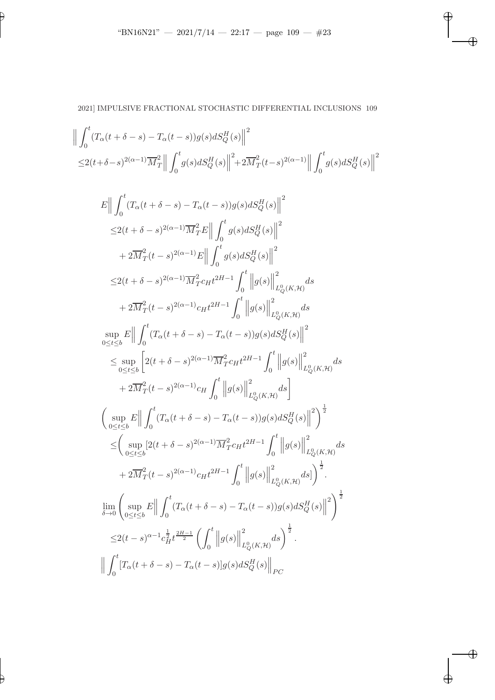$\bigoplus$ 

 $\bigoplus$ 

✐

 $\bigoplus$ 

✐

$$
\begin{split} &\Big\|\int_{0}^{t}(T_{\alpha}(t+\delta-s)-T_{\alpha}(t-s))g(s) dS_{Q}^{H}(s)\Big\|^{2}\\ \leq&2(t+\delta-s)^{2(\alpha-1)}\overline{M}_{T}^{2}\Big\|\int_{0}^{t}g(s) dS_{Q}^{H}(s)\Big\|^{2}+2\overline{M}_{T}^{2}(t-s)^{2(\alpha-1)}\Big\|\int_{0}^{t}g(s) dS_{Q}^{H}(s)\Big\|^{2}\\ &\leq&1(t+\delta-s)-T_{\alpha}(t-s))g(s) dS_{Q}^{H}(s)\Big\|^{2}\\ \leq&2(t+\delta-s)^{2(\alpha-1)}\overline{M}_{T}^{2}E\Big\|\int_{0}^{t}g(s) dS_{Q}^{H}(s)\Big\|^{2}\\ &+2\overline{M}_{T}^{2}(t-s)^{2(\alpha-1)}E\Big\|\int_{0}^{t}g(s) dS_{Q}^{H}(s)\Big\|^{2}\\ \leq&2(t+\delta-s)^{2(\alpha-1)}\overline{M}_{T}^{2}c_{H}t^{2H-1}\int_{0}^{t}\Big\|g(s)\Big\|^{2}_{L_{Q}^{0}(K,\mathcal{H})}ds\\ &+2\overline{M}_{T}^{2}(t-s)^{2(\alpha-1)}c_{H}t^{2H-1}\int_{0}^{t}\Big\|g(s)\Big\|^{2}_{L_{Q}^{0}(K,\mathcal{H})}ds\\ &\sup_{0\leq t\leq b}\Big\|\int_{0}^{t}(T_{\alpha}(t+\delta-s)-T_{\alpha}(t-s))g(s) dS_{Q}^{H}(s)\Big\|^{2}\\ \leq&\sup_{0\leq t\leq b}\Big[2(t+\delta-s)^{2(\alpha-1)}\overline{M}_{T}^{2}c_{H}t^{2H-1}\int_{0}^{t}\Big\|g(s)\Big\|^{2}_{L_{Q}^{0}(K,\mathcal{H})}ds\\ &+2\overline{M}_{T}^{2}(t-s)^{2(\alpha-1)}c_{H}\int_{0}^{t}\Big\|g(s)\Big\|^{2}_{L_{Q}^{0}(K,\mathcal{H})}ds\\ &+2\overline{M}_{T}^{2}(t-s)^{2(\alpha-1)}\overline{M}_{T}^{2}c_{H}t^{2H-1}\int_{0}^{t}\Big\|g(s)\Big\|^{2}_{L_{Q}^{0}(K,\mathcal{H})}ds\\ &
$$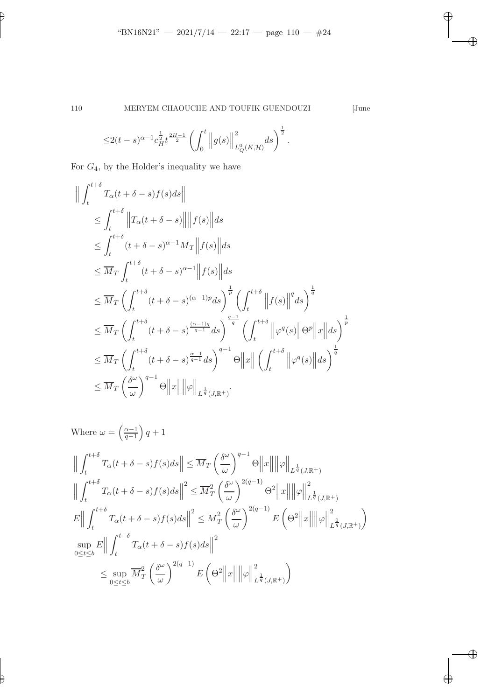$\overline{\oplus}$ 

✐

✐

 $\bigoplus$ 

$$
\leq 2(t-s)^{\alpha-1}c_H^{\frac{1}{2}}t^{\frac{2H-1}{2}}\left(\int_0^t\left\|g(s)\right\|_{L_Q^0(K,\mathcal{H})}^2ds\right)^{\frac{1}{2}}.
$$

For  $G_4$ , by the Holder's inequality we have

$$
\| \int_{t}^{t+\delta} T_{\alpha}(t+\delta-s)f(s)ds \|
$$
\n
$$
\leq \int_{t}^{t+\delta} \|T_{\alpha}(t+\delta-s)\| \|f(s)\| ds
$$
\n
$$
\leq \int_{t}^{t+\delta} (t+\delta-s)^{\alpha-1} \overline{M}_{T} \|f(s)\| ds
$$
\n
$$
\leq \overline{M}_{T} \int_{t}^{t+\delta} (t+\delta-s)^{\alpha-1} \|f(s)\| ds
$$
\n
$$
\leq \overline{M}_{T} \left( \int_{t}^{t+\delta} (t+\delta-s)^{(\alpha-1)p} ds \right)^{\frac{1}{p}} \left( \int_{t}^{t+\delta} \|f(s)\|^{q} ds \right)^{\frac{1}{q}}
$$
\n
$$
\leq \overline{M}_{T} \left( \int_{t}^{t+\delta} (t+\delta-s)^{\frac{(\alpha-1)q}{q-1}} ds \right)^{\frac{q-1}{q}} \left( \int_{t}^{t+\delta} \|\varphi^{q}(s)\| \Theta^{p} \|x\| ds \right)^{\frac{1}{p}}
$$
\n
$$
\leq \overline{M}_{T} \left( \int_{t}^{t+\delta} (t+\delta-s)^{\frac{\alpha-1}{q-1}} ds \right)^{q-1} \Theta \|x\| \left( \int_{t}^{t+\delta} \|\varphi^{q}(s)\| ds \right)^{\frac{1}{q}}
$$
\n
$$
\leq \overline{M}_{T} \left( \frac{\delta^{\omega}}{\omega} \right)^{q-1} \Theta \|x\| \|\varphi\|_{L^{\frac{1}{q}}(J,\mathbb{R}^{+})}.
$$

Where 
$$
\omega = \left(\frac{\alpha-1}{q-1}\right)q+1
$$
  
\n
$$
\left\|\int_{t}^{t+\delta} T_{\alpha}(t+\delta-s)f(s)ds\right\| \leq \overline{M}_{T}\left(\frac{\delta^{\omega}}{\omega}\right)^{q-1}\Theta\|x\| \|\varphi\|_{L^{\frac{1}{q}}(J,\mathbb{R}^{+})}
$$
\n
$$
\left\|\int_{t}^{t+\delta} T_{\alpha}(t+\delta-s)f(s)ds\right\|^{2} \leq \overline{M}_{T}^{2}\left(\frac{\delta^{\omega}}{\omega}\right)^{2(q-1)}\Theta^{2}\|x\| \|\varphi\|_{L^{\frac{1}{q}}(J,\mathbb{R}^{+})}^{2}
$$
\n
$$
E\| \int_{t}^{t+\delta} T_{\alpha}(t+\delta-s)f(s)ds\|^{2} \leq \overline{M}_{T}^{2}\left(\frac{\delta^{\omega}}{\omega}\right)^{2(q-1)}E\left(\Theta^{2}\|x\|\|\varphi\|_{L^{\frac{1}{q}}(J,\mathbb{R}^{+})}^{2}\right)
$$
\n
$$
\sup_{0\leq t\leq b} E\| \int_{t}^{t+\delta} T_{\alpha}(t+\delta-s)f(s)ds\|^{2}
$$
\n
$$
\leq \sup_{0\leq t\leq b} \overline{M}_{T}^{2}\left(\frac{\delta^{\omega}}{\omega}\right)^{2(q-1)}E\left(\Theta^{2}\|x\|\|\varphi\|_{L^{\frac{1}{q}}(J,\mathbb{R}^{+})}^{2}\right)
$$

✐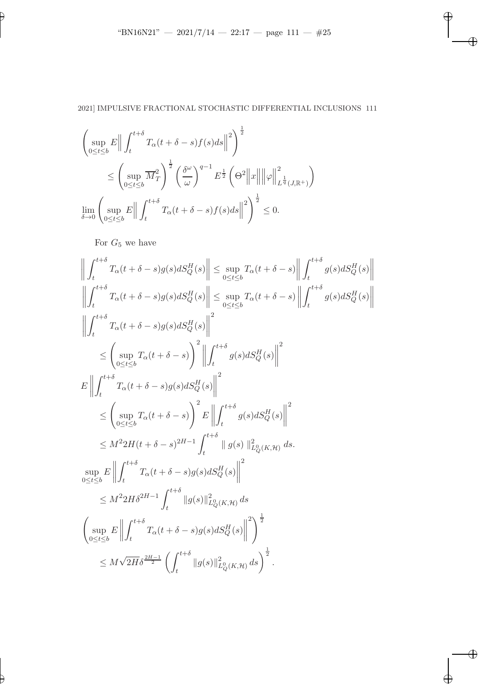$\overline{\oplus}$ 

 $\oplus$ 

✐

 $\bigoplus$ 

# 2021] IMPULSIVE FRACTIONAL STOCHASTIC DIFFERENTIAL INCLUSIONS 111

$$
\left(\sup_{0\leq t\leq b} E\left\|\int_{t}^{t+\delta} T_{\alpha}(t+\delta-s)f(s)ds\right\|^{2}\right)^{\frac{1}{2}}
$$
\n
$$
\leq \left(\sup_{0\leq t\leq b} \overline{M}_{T}^{2}\right)^{\frac{1}{2}} \left(\frac{\delta^{\omega}}{\omega}\right)^{q-1} E^{\frac{1}{2}}\left(\Theta^{2}\left\|x\right\|\left\|\varphi\right\|_{L^{\frac{1}{q}}(J,\mathbb{R}^{+})}^{2}\right)
$$
\n
$$
\lim_{\delta \to 0} \left(\sup_{0\leq t\leq b} E\left\|\int_{t}^{t+\delta} T_{\alpha}(t+\delta-s)f(s)ds\right\|^{2}\right)^{\frac{1}{2}} \leq 0.
$$

For  $G_5$  we have

✐

$$
\left\| \int_{t}^{t+\delta} T_{\alpha}(t+\delta-s)g(s) dS_{Q}^{H}(s) \right\| \leq \sup_{0 \leq t \leq b} T_{\alpha}(t+\delta-s) \left\| \int_{t}^{t+\delta} g(s) dS_{Q}^{H}(s) \right\|
$$
\n
$$
\left\| \int_{t}^{t+\delta} T_{\alpha}(t+\delta-s)g(s) dS_{Q}^{H}(s) \right\| \leq \sup_{0 \leq t \leq b} T_{\alpha}(t+\delta-s) \left\| \int_{t}^{t+\delta} g(s) dS_{Q}^{H}(s) \right\|
$$
\n
$$
\left\| \int_{t}^{t+\delta} T_{\alpha}(t+\delta-s)g(s) dS_{Q}^{H}(s) \right\|^{2}
$$
\n
$$
\leq \left( \sup_{0 \leq t \leq b} T_{\alpha}(t+\delta-s) \right)^{2} \left\| \int_{t}^{t+\delta} g(s) dS_{Q}^{H}(s) \right\|^{2}
$$
\n
$$
\leq \left( \sup_{0 \leq t \leq b} T_{\alpha}(t+\delta-s) g(s) dS_{Q}^{H}(s) \right\|^{2}
$$
\n
$$
\leq \left( \sup_{0 \leq t \leq b} T_{\alpha}(t+\delta-s) \right)^{2} E \left\| \int_{t}^{t+\delta} g(s) dS_{Q}^{H}(s) \right\|^{2}
$$
\n
$$
\leq M^{2} 2H(t+\delta-s)^{2H-1} \int_{t}^{t+\delta} \| g(s) \|_{L_{Q}^{0}(K,\mathcal{H})}^{2} ds.
$$
\n
$$
\sup_{0 \leq t \leq b} E \left\| \int_{t}^{t+\delta} T_{\alpha}(t+\delta-s)g(s) dS_{Q}^{H}(s) \right\|^{2}
$$
\n
$$
\leq M^{2} 2H \delta^{2H-1} \int_{t}^{t+\delta} \| g(s) \|_{L_{Q}^{0}(K,\mathcal{H})}^{2} ds
$$
\n
$$
\left( \sup_{0 \leq t \leq b} E \left\| \int_{t}^{t+\delta} T_{\alpha}(t+\delta-s)g(s) dS_{Q}^{H}(s) \right\|^{2} \right)^{\frac{1}{2}}
$$
\n
$$
\leq M\sqrt{2H}
$$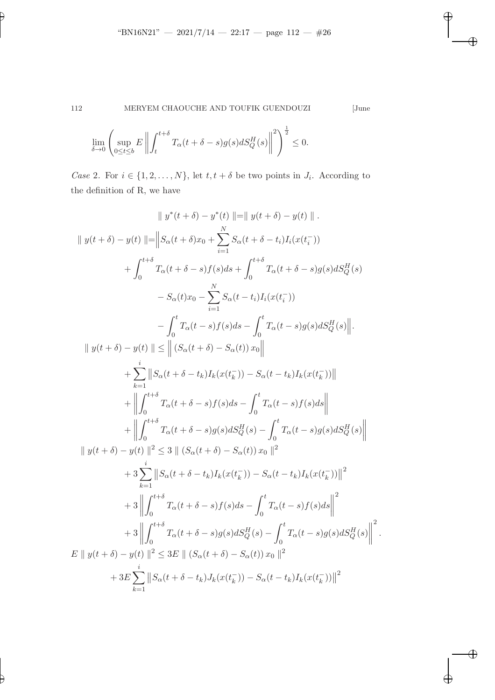$$
\lim_{\delta \to 0} \left( \sup_{0 \le t \le b} E \left\| \int_t^{t+\delta} T_\alpha(t + \delta - s) g(s) dS_Q^H(s) \right\|^2 \right)^{\frac{1}{2}} \le 0.
$$

Case 2. For  $i \in \{1, 2, ..., N\}$ , let  $t, t + \delta$  be two points in  $J_i$ . According to the definition of R, we have

$$
\|y^*(t+\delta) - y^*(t)\| = \|y(t+\delta) - y(t)\|.
$$
  

$$
\|y(t+\delta) - y(t)\| = \|S_{\alpha}(t+\delta)x_0 + \sum_{i=1}^N S_{\alpha}(t+\delta - t_i)I_i(x(t_i^-))
$$
  

$$
+ \int_0^{t+\delta} T_{\alpha}(t+\delta - s)f(s)ds + \int_0^{t+\delta} T_{\alpha}(t+\delta - s)g(s)ds_d^H(s)
$$
  

$$
- S_{\alpha}(t)x_0 - \sum_{i=1}^N S_{\alpha}(t-t_i)I_i(x(t_i^-))
$$
  

$$
- \int_0^t T_{\alpha}(t-s)f(s)ds - \int_0^t T_{\alpha}(t-s)g(s)ds_d^H(s) \Big\|.
$$
  

$$
\|y(t+\delta) - y(t)\| \leq \| (S_{\alpha}(t+\delta) - S_{\alpha}(t))x_0 \|
$$
  

$$
+ \sum_{k=1}^i \|S_{\alpha}(t+\delta - t_k)I_k(x(t_k^-)) - S_{\alpha}(t-t_k)I_k(x(t_k^-))\|
$$
  

$$
+ \left\| \int_0^{t+\delta} T_{\alpha}(t+\delta - s)f(s)ds - \int_0^t T_{\alpha}(t-s)f(s)ds \right\|
$$
  

$$
+ \left\| \int_0^{t+\delta} T_{\alpha}(t+\delta - s)g(s)ds_d^H(s) - \int_0^t T_{\alpha}(t-s)g(s)ds_d^H(s) \right\|
$$
  

$$
+ 3 \sum_{k=1}^i \|S_{\alpha}(t+\delta - t_k)I_k(x(t_k^-)) - S_{\alpha}(t-t_k)I_k(x(t_k^-))\|^2
$$
  

$$
+ 3 \left\| \int_0^{t+\delta} T_{\alpha}(t+\delta - s)f(s)ds - \int_0^t T_{\alpha}(t-s)f(s)ds \right\|^2
$$
  

$$
+ 3 \left\| \int_0^{t+\delta} T_{\alpha}(t+\delta - s)g(s)ds_d^H(s) - \int_0^t T_{\alpha}(t-s)f(s)ds \right\|^2
$$
  

$$
+ 3 \left\| \int_0^{t+\delta} T_{\alpha}(t+\delta - s)g(s)ds_d^H(s) - \int_0^t T_{\alpha}(t-s)g(s)ds_d^H(s) \right
$$

✐

✐

✐

✐

✐

.

 $\bigoplus$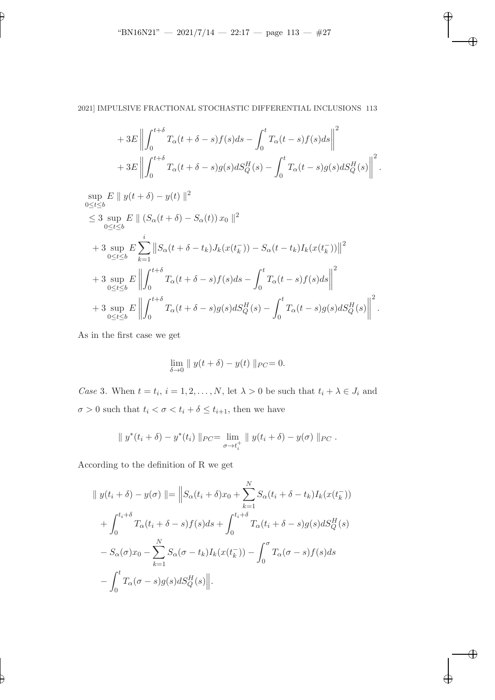# 2021] IMPULSIVE FRACTIONAL STOCHASTIC DIFFERENTIAL INCLUSIONS 113

$$
+3E\left\|\int_{0}^{t+\delta}T_{\alpha}(t+\delta-s)f(s)ds-\int_{0}^{t}T_{\alpha}(t-s)f(s)ds\right\|^{2}+3E\left\|\int_{0}^{t+\delta}T_{\alpha}(t+\delta-s)g(s)dS_{Q}^{H}(s)-\int_{0}^{t}T_{\alpha}(t-s)g(s)dS_{Q}^{H}(s)\right\|^{2}.
$$

✐

✐

✐

✐

$$
\sup_{0 \le t \le b} E \|y(t + \delta) - y(t)\|^2
$$
  
\n
$$
\le 3 \sup_{0 \le t \le b} E \| (S_{\alpha}(t + \delta) - S_{\alpha}(t)) x_0 \|^2
$$
  
\n
$$
+ 3 \sup_{0 \le t \le b} E \sum_{k=1}^i \| S_{\alpha}(t + \delta - t_k) J_k(x(t_k^-)) - S_{\alpha}(t - t_k) I_k(x(t_k^-)) \|^2
$$
  
\n
$$
+ 3 \sup_{0 \le t \le b} E \left\| \int_0^{t + \delta} T_{\alpha}(t + \delta - s) f(s) ds - \int_0^t T_{\alpha}(t - s) f(s) ds \right\|^2
$$
  
\n
$$
+ 3 \sup_{0 \le t \le b} E \left\| \int_0^{t + \delta} T_{\alpha}(t + \delta - s) g(s) dS_Q^H(s) - \int_0^t T_{\alpha}(t - s) g(s) dS_Q^H(s) \right\|^2.
$$

As in the first case we get

✐

✐

$$
\lim_{\delta \to 0} \| y(t + \delta) - y(t) \|_{PC} = 0.
$$

Case 3. When  $t = t_i$ ,  $i = 1, 2, ..., N$ , let  $\lambda > 0$  be such that  $t_i + \lambda \in J_i$  and  $\sigma > 0$  such that  $t_i < \sigma < t_i + \delta \leq t_{i+1}$ , then we have

$$
\| y^*(t_i + \delta) - y^*(t_i) \|_{PC} = \lim_{\sigma \to t_i^+} \| y(t_i + \delta) - y(\sigma) \|_{PC}.
$$

According to the definition of R we get

$$
\|y(t_i + \delta) - y(\sigma)\| = \left\|S_{\alpha}(t_i + \delta)x_0 + \sum_{k=1}^N S_{\alpha}(t_i + \delta - t_k)I_k(x(t_k^-))\right\|
$$
  
+ 
$$
\int_0^{t_i + \delta} T_{\alpha}(t_i + \delta - s)f(s)ds + \int_0^{t_i + \delta} T_{\alpha}(t_i + \delta - s)g(s)dS_Q^H(s)
$$
  
- 
$$
S_{\alpha}(\sigma)x_0 - \sum_{k=1}^N S_{\alpha}(\sigma - t_k)I_k(x(t_k^-)) - \int_0^{\sigma} T_{\alpha}(\sigma - s)f(s)ds
$$
  
- 
$$
\int_0^t T_{\alpha}(\sigma - s)g(s)dS_Q^H(s)\|.
$$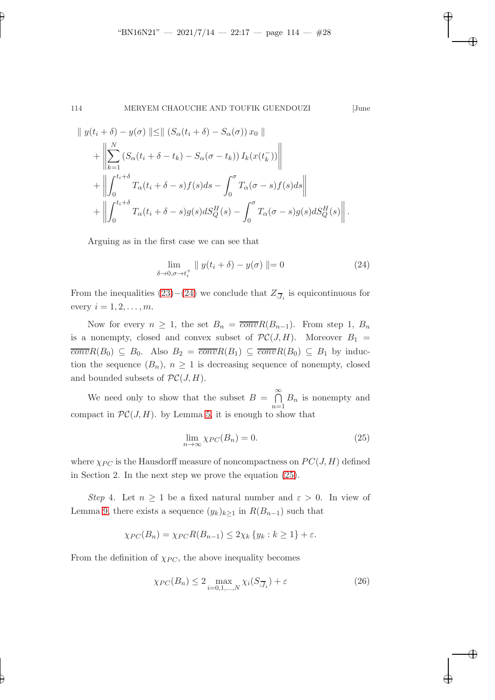✐

### 114 MERYEM CHAOUCHE AND TOUFIK GUENDOUZI [June

✐

✐

✐

✐

$$
\|y(t_i + \delta) - y(\sigma)\| \leq \| (S_{\alpha}(t_i + \delta) - S_{\alpha}(\sigma)) x_0 \| + \left\| \sum_{k=1}^N (S_{\alpha}(t_i + \delta - t_k) - S_{\alpha}(\sigma - t_k)) I_k(x(t_k^-)) \right\| + \left\| \int_0^{t_i + \delta} T_{\alpha}(t_i + \delta - s) f(s) ds - \int_0^{\sigma} T_{\alpha}(\sigma - s) f(s) ds \right\| + \left\| \int_0^{t_i + \delta} T_{\alpha}(t_i + \delta - s) g(s) dS_Q^H(s) - \int_0^{\sigma} T_{\alpha}(\sigma - s) g(s) dS_Q^H(s) \right\|.
$$

Arguing as in the first case we can see that

<span id="page-27-0"></span>
$$
\lim_{\delta \to 0, \sigma \to t_i^+} \| y(t_i + \delta) - y(\sigma) \| = 0 \tag{24}
$$

From the inequalities  $(23)-(24)$  $(23)-(24)$  we conclude that  $Z_{\overline{J}_i}$  is equicontinuous for every  $i = 1, 2, \ldots, m$ .

Now for every  $n \geq 1$ , the set  $B_n = \overline{conv}R(B_{n-1})$ . From step 1,  $B_n$ is a nonempty, closed and convex subset of  $\mathcal{PC}(J, H)$ . Moreover  $B_1 =$  $\overline{conv}R(B_0) \subseteq B_0$ . Also  $B_2 = \overline{conv}R(B_1) \subseteq \overline{conv}R(B_0) \subseteq B_1$  by induction the sequence  $(B_n)$ ,  $n \geq 1$  is decreasing sequence of nonempty, closed and bounded subsets of  $\mathcal{PC}(J,H)$ .

We need only to show that the subset  $B = \bigcap^{\infty}$  $n=1$  $B_n$  is nonempty and compact in  $\mathcal{PC}(J, H)$ . by Lemma [5,](#page-11-1) it is enough to show that

<span id="page-27-1"></span>
$$
\lim_{n \to \infty} \chi_{PC}(B_n) = 0. \tag{25}
$$

where  $\chi_{PC}$  is the Hausdorff measure of noncompactness on  $PC(J, H)$  defined in Section 2. In the next step we prove the equation [\(25\)](#page-27-1).

Step 4. Let  $n \geq 1$  be a fixed natural number and  $\varepsilon > 0$ . In view of Lemma [9,](#page-12-1) there exists a sequence  $(y_k)_{k\geq 1}$  in  $R(B_{n-1})$  such that

$$
\chi_{PC}(B_n) = \chi_{PC}R(B_{n-1}) \le 2\chi_k \{y_k : k \ge 1\} + \varepsilon.
$$

From the definition of  $\chi_{PC}$ , the above inequality becomes

<span id="page-27-2"></span>
$$
\chi_{PC}(B_n) \le 2 \max_{i=0,1,\dots,N} \chi_i(S_{\overline{J}_i}) + \varepsilon
$$
\n(26)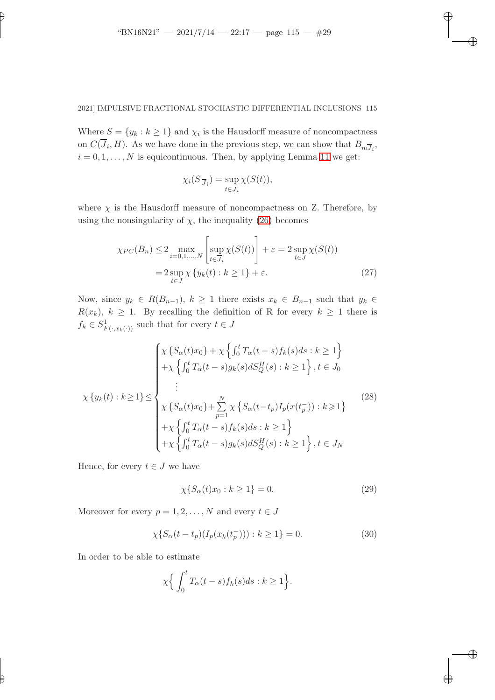✐

✐

✐

✐

✐

# 2021] IMPULSIVE FRACTIONAL STOCHASTIC DIFFERENTIAL INCLUSIONS 115

Where  $S = \{y_k : k \ge 1\}$  and  $\chi_i$  is the Hausdorff measure of noncompactness on  $C(J_i, H)$ . As we have done in the previous step, we can show that  $B_{n_1,\overline{J}_i}$ ,  $i = 0, 1, \ldots, N$  is equicontinuous. Then, by applying Lemma [11](#page-12-2) we get:

<span id="page-28-0"></span>
$$
\chi_i(S_{\overline{J}_i}) = \sup_{t \in \overline{J}_i} \chi(S(t)),
$$

where  $\chi$  is the Hausdorff measure of noncompactness on Z. Therefore, by using the nonsingularity of  $\chi$ , the inequality [\(26\)](#page-27-2) becomes

$$
\chi_{PC}(B_n) \le 2 \max_{i=0,1,\dots,N} \left[ \sup_{t \in \overline{J}_i} \chi(S(t)) \right] + \varepsilon = 2 \sup_{t \in J} \chi(S(t))
$$

$$
= 2 \sup_{t \in J} \chi \{ y_k(t) : k \ge 1 \} + \varepsilon. \tag{27}
$$

Now, since  $y_k \in R(B_{n-1}), k \ge 1$  there exists  $x_k \in B_{n-1}$  such that  $y_k \in$  $R(x_k)$ ,  $k \geq 1$ . By recalling the definition of R for every  $k \geq 1$  there is  $f_k \in S^1_{F(\cdot, x_k(\cdot))}$  such that for every  $t \in J$ 

$$
\chi \{y_k(t) : k \ge 1\} \le \begin{cases}\n\chi \{S_\alpha(t)x_0\} + \chi \left\{\int_0^t T_\alpha(t-s)f_k(s)ds : k \ge 1\right\} \\
+ \chi \left\{\int_0^t T_\alpha(t-s)g_k(s) dS_Q^H(s) : k \ge 1\right\}, t \in J_0 \\
\vdots \\
\chi \{S_\alpha(t)x_0\} + \sum_{p=1}^N \chi \left\{S_\alpha(t-t_p)I_p(x(t_p^-)) : k \ge 1\right\} \\
+ \chi \left\{\int_0^t T_\alpha(t-s)f_k(s)ds : k \ge 1\right\} \\
+ \chi \left\{\int_0^t T_\alpha(t-s)g_k(s) dS_Q^H(s) : k \ge 1\right\}, t \in J_N\n\end{cases}
$$
\n(28)

Hence, for every  $t \in J$  we have

$$
\chi\{S_{\alpha}(t)x_0 : k \ge 1\} = 0. \tag{29}
$$

Moreover for every  $p = 1, 2, ..., N$  and every  $t \in J$ 

$$
\chi\{S_{\alpha}(t - t_p)(I_p(x_k(t_p^-))) : k \ge 1\} = 0.
$$
\n(30)

In order to be able to estimate

$$
\chi \Big\{ \int_0^t T_\alpha(t-s) f_k(s) ds : k \ge 1 \Big\}.
$$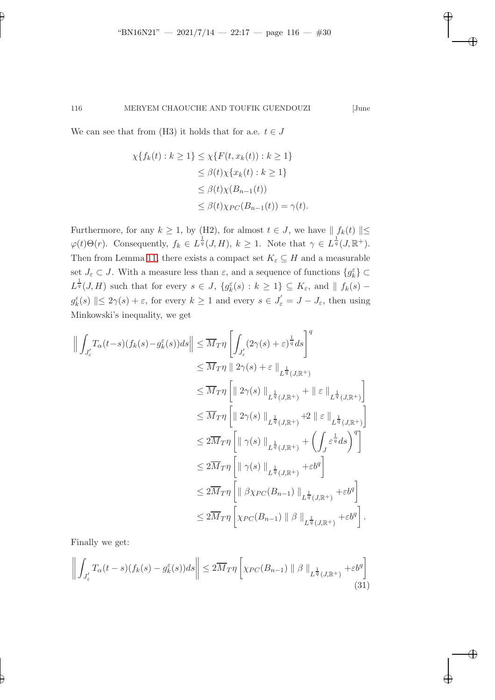✐

✐

✐

✐

We can see that from (H3) it holds that for a.e.  $t \in J$ 

✐

$$
\chi\{f_k(t) : k \ge 1\} \le \chi\{F(t, x_k(t)) : k \ge 1\}
$$
  
\n
$$
\le \beta(t)\chi\{x_k(t) : k \ge 1\}
$$
  
\n
$$
\le \beta(t)\chi(B_{n-1}(t))
$$
  
\n
$$
\le \beta(t)\chi_{PC}(B_{n-1}(t)) = \gamma(t).
$$

Furthermore, for any  $k \geq 1$ , by (H2), for almost  $t \in J$ , we have  $|| f_k(t) || \leq$  $\varphi(t)\Theta(r)$ . Consequently,  $f_k \in L^{\frac{1}{q}}(J,H)$ ,  $k \geq 1$ . Note that  $\gamma \in L^{\frac{1}{q}}(J,\mathbb{R}^+)$ . Then from Lemma [11,](#page-12-2) there exists a compact set  $K_{\varepsilon} \subseteq H$  and a measurable set  $J_{\varepsilon} \subset J$ . With a measure less than  $\varepsilon$ , and a sequence of functions  $\{g_k^{\varepsilon}\}\subset$  $L^{\frac{1}{q}}(J,H)$  such that for every  $s \in J$ ,  $\{g_k^{\varepsilon}(s): k \geq 1\} \subseteq K_{\varepsilon}$ , and  $|| f_k(s)$  $g_k^{\varepsilon}(s) \parallel \leq 2\gamma(s) + \varepsilon$ , for every  $k \geq 1$  and every  $s \in J_{\varepsilon}' = J - J_{\varepsilon}$ , then using Minkowski's inequality, we get

$$
\left\| \int_{J'_{\varepsilon}} T_{\alpha}(t-s)(f_{k}(s)-g_{k}^{\varepsilon}(s))ds \right\| \leq \overline{M}_{T}\eta \left[ \int_{J'_{\varepsilon}} (2\gamma(s)+\varepsilon)^{\frac{1}{q}} ds \right]^{q}
$$
  
\n
$$
\leq \overline{M}_{T}\eta \left[ \| 2\gamma(s) + \varepsilon \|_{L^{\frac{1}{q}}(J,\mathbb{R}^{+})} + \| \varepsilon \|_{L^{\frac{1}{q}}(J,\mathbb{R}^{+})} \right]
$$
  
\n
$$
\leq \overline{M}_{T}\eta \left[ \| 2\gamma(s) \|_{L^{\frac{1}{q}}(J,\mathbb{R}^{+})} + \| \varepsilon \|_{L^{\frac{1}{q}}(J,\mathbb{R}^{+})} \right]
$$
  
\n
$$
\leq 2\overline{M}_{T}\eta \left[ \| \gamma(s) \|_{L^{\frac{1}{q}}(J,\mathbb{R}^{+})} + \left( \int_{J} \varepsilon^{\frac{1}{q}} ds \right)^{q} \right]
$$
  
\n
$$
\leq 2\overline{M}_{T}\eta \left[ \| \gamma(s) \|_{L^{\frac{1}{q}}(J,\mathbb{R}^{+})} + \varepsilon b^{q} \right]
$$
  
\n
$$
\leq 2\overline{M}_{T}\eta \left[ \| \beta\chi_{PC}(B_{n-1}) \|_{L^{\frac{1}{q}}(J,\mathbb{R}^{+})} + \varepsilon b^{q} \right]
$$
  
\n
$$
\leq 2\overline{M}_{T}\eta \left[ \| \beta\chi_{PC}(B_{n-1}) \| \beta \|_{L^{\frac{1}{q}}(J,\mathbb{R}^{+})} + \varepsilon b^{q} \right].
$$

<span id="page-29-0"></span>Finally we get:

$$
\left\| \int_{J'_\varepsilon} T_\alpha(t-s)(f_k(s) - g_k^\varepsilon(s))ds \right\| \le 2\overline{M}_T \eta \left[ \chi_{PC}(B_{n-1}) \parallel \beta \parallel_{L^{\frac{1}{q}}(J,\mathbb{R}^+)} + \varepsilon b^q \right] \tag{31}
$$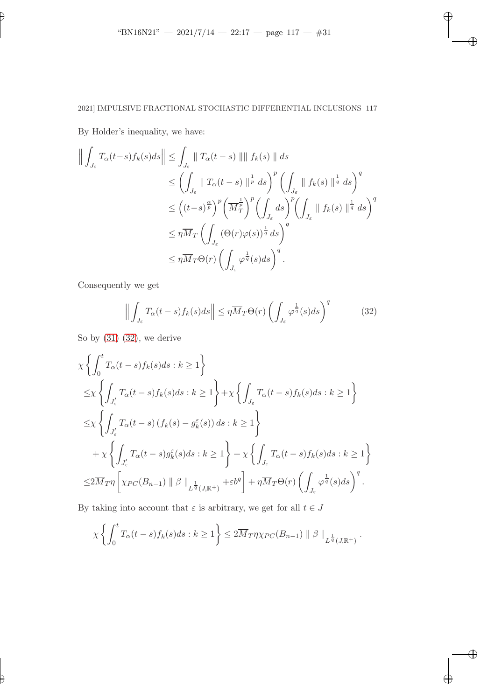$\overline{\oplus}$ 

✐

✐

 $\bigoplus$ 

# 2021] IMPULSIVE FRACTIONAL STOCHASTIC DIFFERENTIAL INCLUSIONS 117

By Holder's inequality, we have:

✐

✐

$$
\left\| \int_{J_{\varepsilon}} T_{\alpha}(t-s) f_{k}(s) ds \right\| \leq \int_{J_{\varepsilon}} \| T_{\alpha}(t-s) \| \| f_{k}(s) \| ds
$$
  
\n
$$
\leq \left( \int_{J_{\varepsilon}} \| T_{\alpha}(t-s) \|_{p}^{\frac{1}{p}} ds \right)^{p} \left( \int_{J_{\varepsilon}} \| f_{k}(s) \|_{q}^{\frac{1}{q}} ds \right)^{q}
$$
  
\n
$$
\leq \left( (t-s)^{\frac{\alpha}{p}} \right)^{p} \left( \overline{M}_{T}^{\frac{1}{p}} \right)^{p} \left( \int_{J_{\varepsilon}} ds \right)^{p} \left( \int_{J_{\varepsilon}} \| f_{k}(s) \|_{q}^{\frac{1}{q}} ds \right)^{q}
$$
  
\n
$$
\leq \eta \overline{M}_{T} \left( \int_{J_{\varepsilon}} (\Theta(r)\varphi(s))^{\frac{1}{q}} ds \right)^{q}
$$
  
\n
$$
\leq \eta \overline{M}_{T} \Theta(r) \left( \int_{J_{\varepsilon}} \varphi^{\frac{1}{q}}(s) ds \right)^{q}.
$$

Consequently we get

<span id="page-30-0"></span>
$$
\left\| \int_{J_{\varepsilon}} T_{\alpha}(t-s) f_{k}(s) ds \right\| \leq \eta \overline{M}_{T} \Theta(r) \left( \int_{J_{\varepsilon}} \varphi^{\frac{1}{q}}(s) ds \right)^{q} \tag{32}
$$

So by [\(31\)](#page-29-0) [\(32\)](#page-30-0), we derive

$$
\chi \left\{ \int_0^t T_\alpha(t-s) f_k(s) ds : k \ge 1 \right\}
$$
  
\n
$$
\le \chi \left\{ \int_{J'_\varepsilon} T_\alpha(t-s) f_k(s) ds : k \ge 1 \right\} + \chi \left\{ \int_{J_\varepsilon} T_\alpha(t-s) f_k(s) ds : k \ge 1 \right\}
$$
  
\n
$$
\le \chi \left\{ \int_{J'_\varepsilon} T_\alpha(t-s) \left( f_k(s) - g_k^\varepsilon(s) \right) ds : k \ge 1 \right\}
$$
  
\n
$$
+ \chi \left\{ \int_{J'_\varepsilon} T_\alpha(t-s) g_k^\varepsilon(s) ds : k \ge 1 \right\} + \chi \left\{ \int_{J_\varepsilon} T_\alpha(t-s) f_k(s) ds : k \ge 1 \right\}
$$
  
\n
$$
\le 2 \overline{M}_T \eta \left[ \chi_{PC}(B_{n-1}) \parallel \beta \parallel_{L^{\frac{1}{q}}(J,\mathbb{R}^+)} + \varepsilon b^q \right] + \eta \overline{M}_T \Theta(r) \left( \int_{J_\varepsilon} \varphi^{\frac{1}{q}}(s) ds \right)^q.
$$

By taking into account that  $\varepsilon$  is arbitrary, we get for all  $t \in J$ 

$$
\chi\left\{\int_0^t T_\alpha(t-s)f_k(s)ds : k\geq 1\right\} \leq 2\overline{M}_T \eta \chi_{PC}(B_{n-1}) \parallel \beta \parallel_{L^{\frac{1}{q}}(J,\mathbb{R}^+)}.
$$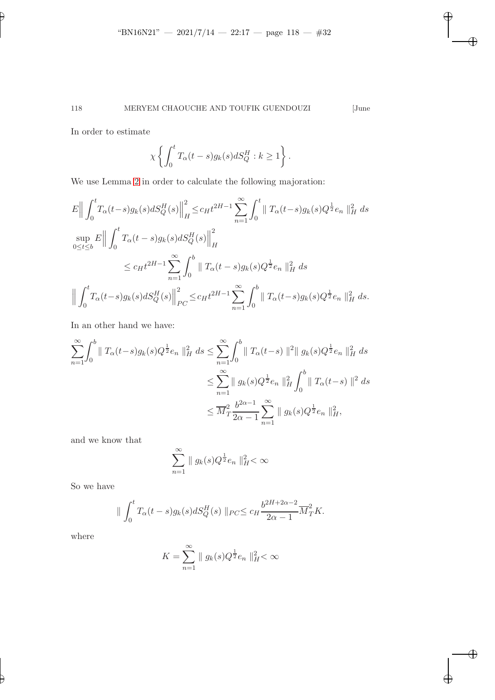$\overline{\oplus}$ 

 $\overline{\oplus}$ 

✐

 $\bigoplus$ 

In order to estimate

✐

$$
\chi \left\{ \int_0^t T_\alpha(t-s) g_k(s) dS_Q^H : k \ge 1 \right\}.
$$

We use Lemma [2](#page-8-2) in order to calculate the following majoration:

$$
E\Big\|\int_{0}^{t} T_{\alpha}(t-s)g_{k}(s) dS_{Q}^{H}(s)\Big\|_{H}^{2} \leq c_{H} t^{2H-1} \sum_{n=1}^{\infty} \int_{0}^{t} \|T_{\alpha}(t-s)g_{k}(s)Q^{\frac{1}{2}}e_{n}\|_{H}^{2} ds
$$
  
\n
$$
\sup_{0\leq t\leq b} E\Big\|\int_{0}^{t} T_{\alpha}(t-s)g_{k}(s) dS_{Q}^{H}(s)\Big\|_{H}^{2}
$$
  
\n
$$
\leq c_{H} t^{2H-1} \sum_{n=1}^{\infty} \int_{0}^{b} \|T_{\alpha}(t-s)g_{k}(s)Q^{\frac{1}{2}}e_{n}\|_{H}^{2} ds
$$
  
\n
$$
\Big\|\int_{0}^{t} T_{\alpha}(t-s)g_{k}(s) dS_{Q}^{H}(s)\Big\|_{PC}^{2} \leq c_{H} t^{2H-1} \sum_{n=1}^{\infty} \int_{0}^{b} \|T_{\alpha}(t-s)g_{k}(s)Q^{\frac{1}{2}}e_{n}\|_{H}^{2} ds.
$$

In an other hand we have:

$$
\sum_{n=1}^{\infty} \int_{0}^{b} \| T_{\alpha}(t-s) g_{k}(s) Q^{\frac{1}{2}} e_{n} \|_{H}^{2} ds \le \sum_{n=1}^{\infty} \int_{0}^{b} \| T_{\alpha}(t-s) \|^{2} \| g_{k}(s) Q^{\frac{1}{2}} e_{n} \|_{H}^{2} ds
$$
  

$$
\le \sum_{n=1}^{\infty} \| g_{k}(s) Q^{\frac{1}{2}} e_{n} \|_{H}^{2} \int_{0}^{b} \| T_{\alpha}(t-s) \|^{2} ds
$$
  

$$
\le \overline{M}_{T}^{2} \frac{b^{2\alpha-1}}{2\alpha-1} \sum_{n=1}^{\infty} \| g_{k}(s) Q^{\frac{1}{2}} e_{n} \|_{H}^{2},
$$

and we know that

$$
\sum_{n=1}^{\infty} \| g_k(s) Q^{\frac{1}{2}} e_n \|_{H}^{2} < \infty
$$

So we have

$$
\| \int_0^t T_\alpha(t-s) g_k(s) dS_Q^H(s) \|_{PC} \leq c_H \frac{b^{2H+2\alpha-2}}{2\alpha-1} \overline{M}_T^2 K.
$$

where

$$
K = \sum_{n=1}^{\infty} \| g_k(s) Q^{\frac{1}{2}} e_n \|_{H}^{2} < \infty
$$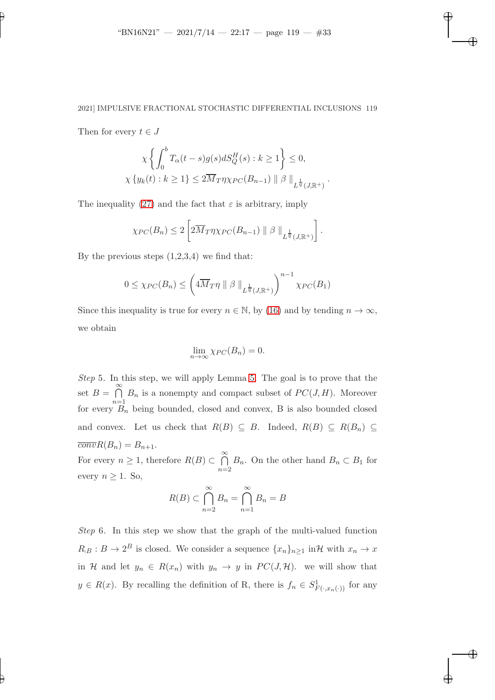✐

✐

✐

# 2021] IMPULSIVE FRACTIONAL STOCHASTIC DIFFERENTIAL INCLUSIONS 119

Then for every  $t \in J$ 

✐

✐

$$
\chi \left\{ \int_0^b T_\alpha(t-s)g(s)dS_Q^H(s) : k \ge 1 \right\} \le 0,
$$
  

$$
\chi \left\{ y_k(t) : k \ge 1 \right\} \le 2\overline{M}_T \eta \chi_{PC}(B_{n-1}) \parallel \beta \parallel_{L^{\frac{1}{q}}(J,\mathbb{R}^+)}.
$$

The inequality [\(27\)](#page-28-0) and the fact that  $\varepsilon$  is arbitrary, imply

$$
\chi_{PC}(B_n) \leq 2 \left[ 2 \overline{M}_T \eta \chi_{PC}(B_{n-1}) \parallel \beta \parallel_{L^{\frac{1}{q}}(J,\mathbb{R}^+)} \right].
$$

By the previous steps  $(1,2,3,4)$  we find that:

$$
0 \leq \chi_{PC}(B_n) \leq \left( 4\overline{M}_T \eta \parallel \beta \parallel_{L^{\frac{1}{q}}(J,\mathbb{R}^+)} \right)^{n-1} \chi_{PC}(B_1)
$$

Since this inequality is true for every  $n \in \mathbb{N}$ , by [\(16\)](#page-15-1) and by tending  $n \to \infty$ , we obtain

$$
\lim_{n \to \infty} \chi_{PC}(B_n) = 0.
$$

Step 5. In this step, we will apply Lemma [5.](#page-11-1) The goal is to prove that the set  $B = \bigcap^{\infty}$  $\bigcap_{n=1} B_n$  is a nonempty and compact subset of  $PC(J, H)$ . Moreover for every  $B_n$  being bounded, closed and convex, B is also bounded closed and convex. Let us check that  $R(B) \subseteq B$ . Indeed,  $R(B) \subseteq R(B_n) \subseteq$  $\overline{conv}R(B_n) = B_{n+1}.$ 

For every  $n \geq 1$ , therefore  $R(B) \subset \bigcap_{n=1}^{\infty}$  $\bigcap_{n=2} B_n$ . On the other hand  $B_n \subset B_1$  for every  $n \geq 1$ . So,

$$
R(B) \subset \bigcap_{n=2}^{\infty} B_n = \bigcap_{n=1}^{\infty} B_n = B
$$

Step 6. In this step we show that the graph of the multi-valued function  $R_{\beta}: B \to 2^B$  is closed. We consider a sequence  $\{x_n\}_{n\geq 1}$  in H with  $x_n \to x$ in H and let  $y_n \in R(x_n)$  with  $y_n \to y$  in  $PC(J, \mathcal{H})$ . we will show that  $y \in R(x)$ . By recalling the definition of R, there is  $f_n \in S^1_{F(\cdot,x_n(\cdot))}$  for any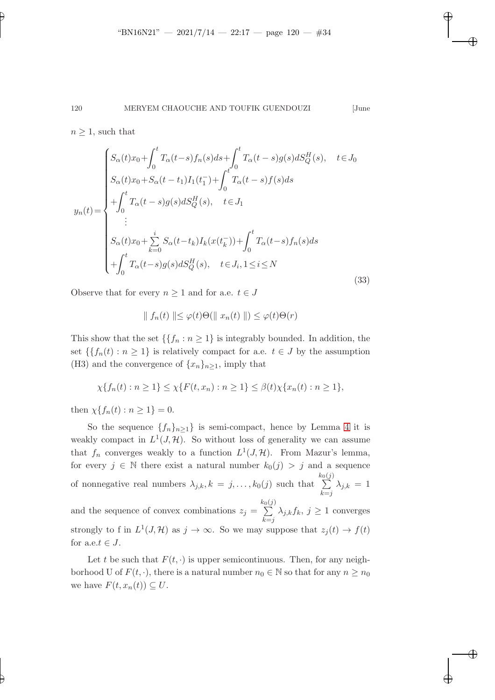✐

✐

✐

✐

 $n \geq 1$ , such that

<span id="page-33-0"></span>
$$
y_n(t) = \begin{cases} S_{\alpha}(t)x_0 + \int_0^t T_{\alpha}(t-s)f_n(s)ds + \int_0^t T_{\alpha}(t-s)g(s)dS_Q^H(s), & t \in J_0 \\ S_{\alpha}(t)x_0 + S_{\alpha}(t-t_1)I_1(t_1^-) + \int_0^t T_{\alpha}(t-s)f(s)ds \\ + \int_0^t T_{\alpha}(t-s)g(s)dS_Q^H(s), & t \in J_1 \\ \vdots \\ S_{\alpha}(t)x_0 + \sum_{k=0}^i S_{\alpha}(t-t_k)I_k(x(t_k^-)) + \int_0^t T_{\alpha}(t-s)f_n(s)ds \\ + \int_0^t T_{\alpha}(t-s)g(s)dS_Q^H(s), & t \in J_i, 1 \le i \le N \end{cases}
$$
(33)

Observe that for every  $n \geq 1$  and for a.e.  $t \in J$ 

$$
\parallel f_n(t) \parallel \leq \varphi(t)\Theta(\parallel x_n(t) \parallel) \leq \varphi(t)\Theta(r)
$$

This show that the set  $\{\{f_n : n \geq 1\}$  is integrably bounded. In addition, the set  $\{f_n(t) : n \geq 1\}$  is relatively compact for a.e.  $t \in J$  by the assumption (H3) and the convergence of  $\{x_n\}_{n\geq 1}$ , imply that

$$
\chi\{f_n(t) : n \ge 1\} \le \chi\{F(t, x_n) : n \ge 1\} \le \beta(t)\chi\{x_n(t) : n \ge 1\},\
$$

then  $\chi\{f_n(t) : n \geq 1\} = 0$ .

So the sequence  $\{f_n\}_{n\geq 1}\}$  is semi-compact, hence by Lemma [4](#page-11-0) it is weakly compact in  $L^1(J, \mathcal{H})$ . So without loss of generality we can assume that  $f_n$  converges weakly to a function  $L^1(J, \mathcal{H})$ . From Mazur's lemma, for every  $j \in \mathbb{N}$  there exist a natural number  $k_0(j) > j$  and a sequence of nonnegative real numbers  $\lambda_{j,k}, k = j, \ldots, k_0(j)$  such that  $\sum_{i=1}^{k_0(j)}$  $_{k=j}$  $\lambda_{j,k} = 1$ and the sequence of convex combinations  $z_j =$  $\sum_{i=1}^{k_0(j)}$  $\sum_{k=j} \lambda_{j,k} f_k, j \ge 1$  converges strongly to f in  $L^1(J, \mathcal{H})$  as  $j \to \infty$ . So we may suppose that  $z_j(t) \to f(t)$ for a.e. $t \in J$ .

Let t be such that  $F(t, \cdot)$  is upper semicontinuous. Then, for any neighborhood U of  $F(t, \cdot)$ , there is a natural number  $n_0 \in \mathbb{N}$  so that for any  $n \geq n_0$ we have  $F(t, x_n(t)) \subseteq U$ .

✐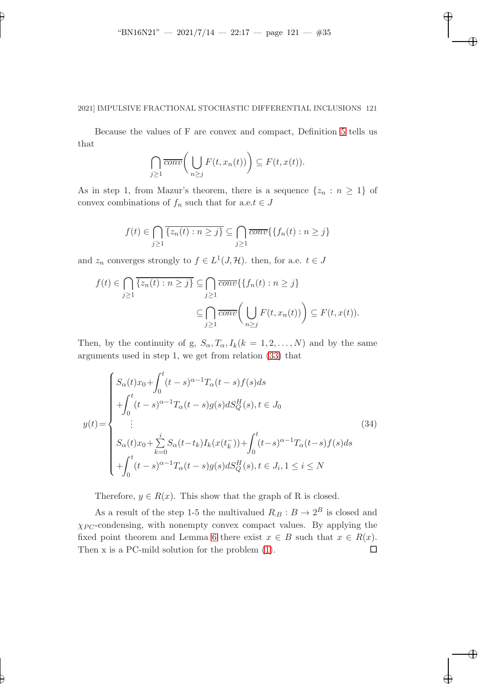✐

✐

✐

✐

✐

# 2021] IMPULSIVE FRACTIONAL STOCHASTIC DIFFERENTIAL INCLUSIONS 121

Because the values of F are convex and compact, Definition [5](#page-11-2) tells us that

$$
\bigcap_{j\geq 1} \overline{conv}\bigg(\bigcup_{n\geq j} F(t,x_n(t))\bigg) \subseteq F(t,x(t)).
$$

As in step 1, from Mazur's theorem, there is a sequence  $\{z_n : n \geq 1\}$  of convex combinations of  $f_n$  such that for a.e. $t \in J$ 

$$
f(t) \in \bigcap_{j\geq 1} \overline{\{z_n(t) : n \geq j\}} \subseteq \bigcap_{j\geq 1} \overline{conv}(\{f_n(t) : n \geq j\})
$$

and  $z_n$  converges strongly to  $f \in L^1(J, \mathcal{H})$ . then, for a.e.  $t \in J$ 

$$
f(t) \in \bigcap_{j\geq 1} \overline{\{z_n(t) : n \geq j\}} \subseteq \bigcap_{j\geq 1} \overline{conv} \{ \{f_n(t) : n \geq j\}
$$

$$
\subseteq \bigcap_{j\geq 1} \overline{conv} \bigg(\bigcup_{n\geq j} F(t, x_n(t))\bigg) \subseteq F(t, x(t)).
$$

Then, by the continuity of g,  $S_{\alpha}$ ,  $T_{\alpha}$ ,  $I_k(k = 1, 2, ..., N)$  and by the same arguments used in step 1, we get from relation [\(33\)](#page-33-0) that

$$
y(t) = \begin{cases} S_{\alpha}(t)x_0 + \int_0^t (t-s)^{\alpha-1} T_{\alpha}(t-s) f(s) ds \\ + \int_0^t (t-s)^{\alpha-1} T_{\alpha}(t-s) g(s) dS_Q^H(s), t \in J_0 \\ \vdots \\ S_{\alpha}(t)x_0 + \sum_{k=0}^i S_{\alpha}(t-t_k) I_k(x(t_k^-)) + \int_0^t (t-s)^{\alpha-1} T_{\alpha}(t-s) f(s) ds \\ + \int_0^t (t-s)^{\alpha-1} T_{\alpha}(t-s) g(s) dS_Q^H(s), t \in J_i, 1 \le i \le N \end{cases}
$$
(34)

Therefore,  $y \in R(x)$ . This show that the graph of R is closed.

As a result of the step 1-5 the multivalued  $R_B : B \to 2^B$  is closed and  $\chi_{PC}$ -condensing, with nonempty convex compact values. By applying the fixed point theorem and Lemma [6](#page-12-3) there exist  $x \in B$  such that  $x \in R(x)$ . Then x is a PC-mild solution for the problem  $(1)$ .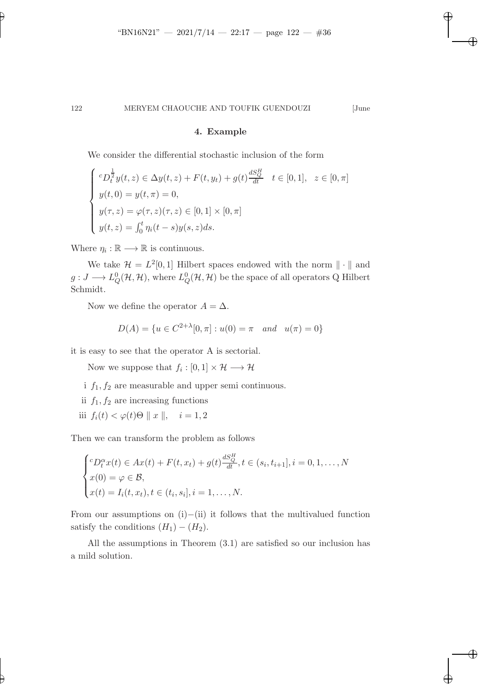✐

✐

✐

✐

# 4. Example

We consider the differential stochastic inclusion of the form

$$
\begin{cases}\nc_{D_t} \frac{1}{2} y(t, z) \in \Delta y(t, z) + F(t, y_t) + g(t) \frac{dS_Q^H}{dt} & t \in [0, 1], \ z \in [0, \pi] \\
y(t, 0) = y(t, \pi) = 0, \\
y(\tau, z) = \varphi(\tau, z)(\tau, z) \in [0, 1] \times [0, \pi] \\
y(t, z) = \int_0^t \eta_i(t - s) y(s, z) ds.\n\end{cases}
$$

Where  $\eta_i : \mathbb{R} \longrightarrow \mathbb{R}$  is continuous.

✐

✐

We take  $\mathcal{H} = L^2[0,1]$  Hilbert spaces endowed with the norm  $\|\cdot\|$  and  $g: J \longrightarrow L^0_Q(\mathcal{H}, \mathcal{H})$ , where  $L^0_Q(\mathcal{H}, \mathcal{H})$  be the space of all operators Q Hilbert Schmidt.

Now we define the operator  $A = \Delta$ .

$$
D(A) = \{ u \in C^{2+\lambda}[0, \pi] : u(0) = \pi \quad and \quad u(\pi) = 0 \}
$$

it is easy to see that the operator A is sectorial.

Now we suppose that  $f_i: [0,1] \times \mathcal{H} \longrightarrow \mathcal{H}$ 

- i  $f_1, f_2$  are measurable and upper semi continuous.
- ii  $f_1, f_2$  are increasing functions
- iii  $f_i(t) < \varphi(t) \Theta \parallel x \parallel, \quad i = 1, 2$

Then we can transform the problem as follows

$$
\begin{cases} ^{c}D_{t}^{\alpha}x(t) \in Ax(t) + F(t, x_{t}) + g(t) \frac{dS_{Q}^{H}}{dt}, t \in (s_{i}, t_{i+1}], i = 0, 1, ..., N \\ x(0) = \varphi \in \mathcal{B}, \\ x(t) = I_{i}(t, x_{t}), t \in (t_{i}, s_{i}], i = 1, ..., N. \end{cases}
$$

From our assumptions on  $(i)$ −(ii) it follows that the multivalued function satisfy the conditions  $(H_1) - (H_2)$ .

All the assumptions in Theorem (3.1) are satisfied so our inclusion has a mild solution.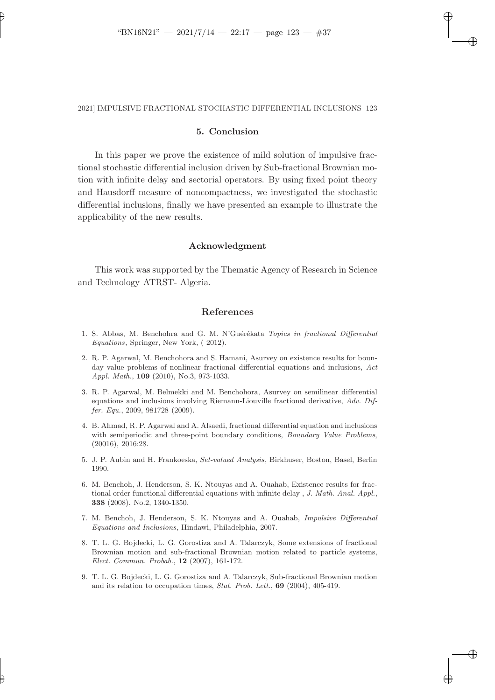✐

✐

✐

✐

✐

### 2021] IMPULSIVE FRACTIONAL STOCHASTIC DIFFERENTIAL INCLUSIONS 123

# 5. Conclusion

In this paper we prove the existence of mild solution of impulsive fractional stochastic differential inclusion driven by Sub-fractional Brownian motion with infinite delay and sectorial operators. By using fixed point theory and Hausdorff measure of noncompactness, we investigated the stochastic differential inclusions, finally we have presented an example to illustrate the applicability of the new results.

#### Acknowledgment

This work was supported by the Thematic Agency of Research in Science and Technology ATRST- Algeria.

### References

- <span id="page-36-0"></span>1. S. Abbas, M. Benchohra and G. M. N'Guérékata Topics in fractional Differential Equations, Springer, New York, ( 2012).
- <span id="page-36-1"></span>2. R. P. Agarwal, M. Benchohora and S. Hamani, Asurvey on existence results for bounday value problems of nonlinear fractional differential equations and inclusions, Act Appl. Math., 109 (2010), No.3, 973-1033.
- <span id="page-36-2"></span>3. R. P. Agarwal, M. Belmekki and M. Benchohora, Asurvey on semilinear differential equations and inclusions involving Riemann-Liouville fractional derivative, Adv. Differ. Equ., 2009, 981728 (2009).
- <span id="page-36-3"></span>4. B. Ahmad, R. P. Agarwal and A. Alsaedi, fractional differential equation and inclusions with semiperiodic and three-point boundary conditions, *Boundary Value Problems*, (20016), 2016:28.
- <span id="page-36-8"></span>5. J. P. Aubin and H. Frankoeska, Set-valued Analysis, Birkhuser, Boston, Basel, Berlin 1990.
- <span id="page-36-4"></span>6. M. Benchoh, J. Henderson, S. K. Ntouyas and A. Ouahab, Existence results for fractional order functional differential equations with infinite delay , J. Math. Anal. Appl., 338 (2008), No.2, 1340-1350.
- <span id="page-36-5"></span>7. M. Benchoh, J. Henderson, S. K. Ntouyas and A. Ouahab, Impulsive Differential Equations and Inclusions, Hindawi, Philadelphia, 2007.
- <span id="page-36-6"></span>8. T. L. G. Bojdecki, L. G. Gorostiza and A. Talarczyk, Some extensions of fractional Brownian motion and sub-fractional Brownian motion related to particle systems, Elect. Commun. Probab., 12 (2007), 161-172.
- <span id="page-36-7"></span>9. T. L. G. Bojdecki, L. G. Gorostiza and A. Talarczyk, Sub-fractional Brownian motion and its relation to occupation times, Stat. Prob. Lett., 69 (2004), 405-419.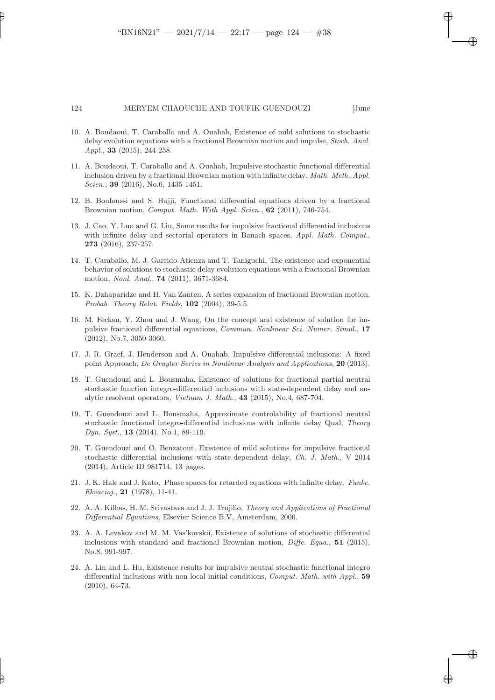✐

✐

✐

#### 124 MERYEM CHAOUCHE AND TOUFIK GUENDOUZI [June

✐

- <span id="page-37-11"></span>10. A. Boudaoui, T. Caraballo and A. Ouahab, Existence of mild solutions to stochastic delay evolution equations with a fractional Brownian motion and impulse, Stoch. Anal. Appl., 33 (2015), 244-258.
- <span id="page-37-12"></span>11. A. Boudaoui, T. Caraballo and A. Ouahab, Impulsive stochastic functional differential inclusion driven by a fractional Brownian motion with infinite delay, Math. Meth. Appl. Scien., **39** (2016), No.6, 1435-1451.
- <span id="page-37-9"></span>12. B. Boufoussi and S. Hajji, Functional differential equations driven by a fractional Brownian motion, Comput. Math. With Appl. Scien., 62 (2011), 746-754.
- <span id="page-37-3"></span>13. J. Cao, Y. Luo and G. Liu, Some results for impulsive fractional differential inclusions with infinite delay and sectorial operators in Banach spaces, Appl. Math. Comput., 273 (2016), 237-257.
- <span id="page-37-10"></span>14. T. Caraballo, M. J. Garrido-Atienza and T. Taniguchi, The existence and exponential behavior of solutions to stochastic delay evolution equations with a fractional Brownian motion, Nonl. Anal., 74 (2011), 3671-3684.
- <span id="page-37-13"></span>15. K. Dzhaparidze and H. Van Zanten, A series expansion of fractional Brownian motion, Probab. Theory Relat. Fields, 102 (2004), 39-5.5.
- <span id="page-37-2"></span>16. M. Feckan, Y. Zhou and J. Wang, On the concept and existence of solution for impulsive fractional differential equations, Commun. Nonlinear Sci. Numer. Simul., 17 (2012), No.7, 3050-3060.
- <span id="page-37-4"></span>17. J. R. Graef, J. Henderson and A. Ouahab, Impulsive differential inclusions: A fixed point Approach, De Gruyter Series in Nonlinear Analysis and Applications, 20 (2013).
- <span id="page-37-6"></span>18. T. Guendouzi and L. Bousmaha, Existence of solutions for fractional partial neutral stochastic function integro-differential inclusions with state-dependent delay and analytic resolvent operators, Vietnam J. Math., 43 (2015), No.4, 687-704.
- <span id="page-37-7"></span>19. T. Guendouzi and L. Bousmaha, Approximate controlability of fractional neutral stochastic functional integro-differential inclusions with infinite delay Qual, Theory Dyn. Syst., **13** (2014), No.1, 89-119.
- <span id="page-37-8"></span>20. T. Guendouzi and O. Benzatout, Existence of mild solutions for impulsive fractional stochastic differential inclusions with state-dependent delay, Ch. J. Math., V 2014 (2014), Article ID 981714, 13 pages.
- <span id="page-37-14"></span>21. J. K. Hale and J. Kato, Phase spaces for retarded equations with infinite delay, Funkc. Ekvacioj., 21 (1978), 11-41.
- <span id="page-37-0"></span>22. A. A. Kilbas, H. M. Srivastava and J. J. Trujillo, Theory and Applications of Fractional Differential Equations, Elsevier Science B.V, Amsterdam, 2006.
- <span id="page-37-1"></span>23. A. A. Levakov and M. M. Vas'kovskii, Existence of solutions of stochastic differential inclusions with standard and fractional Brownian motion,  $\text{Diff}e$ . Equa., 51 (2015), No.8, 991-997.
- <span id="page-37-5"></span>24. A. Lin and L. Hu, Existence results for impulsive neutral stochastic functional integro differential inclusions with non local initial conditions, Comput. Math. with Appl., 59 (2010), 64-73.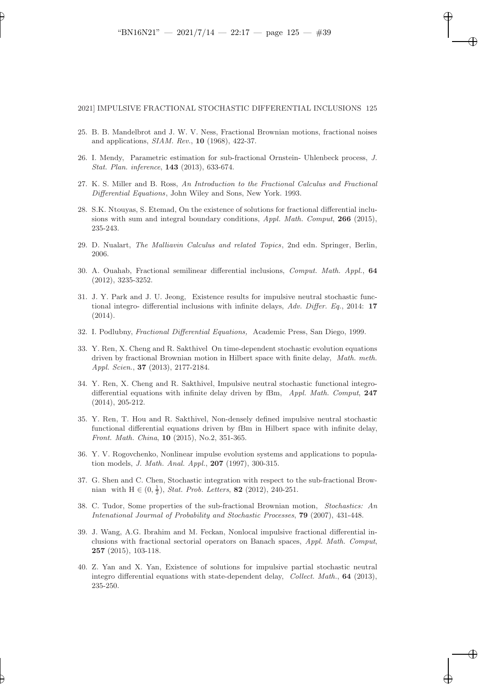✐

✐

✐

✐

✐

#### 2021] IMPULSIVE FRACTIONAL STOCHASTIC DIFFERENTIAL INCLUSIONS 125

- <span id="page-38-5"></span>25. B. B. Mandelbrot and J. W. V. Ness, Fractional Brownian motions, fractional noises and applications, SIAM. Rev., 10 (1968), 422-37.
- <span id="page-38-11"></span>26. I. Mendy, Parametric estimation for sub-fractional Ornstein- Uhlenbeck process, J. Stat. Plan. inference, 143 (2013), 633-674.
- <span id="page-38-0"></span>27. K. S. Miller and B. Ross, An Introduction to the Fractional Calculus and Fractional Differential Equations, John Wiley and Sons, New York. 1993.
- <span id="page-38-1"></span>28. S.K. Ntouyas, S. Etemad, On the existence of solutions for fractional differential inclusions with sum and integral boundary conditions, Appl. Math. Comput, 266 (2015), 235-243.
- <span id="page-38-12"></span>29. D. Nualart, The Malliavin Calculus and related Topics, 2nd edn. Springer, Berlin, 2006.
- <span id="page-38-2"></span>30. A. Ouahab, Fractional semilinear differential inclusions, Comput. Math. Appl., 64 (2012), 3235-3252.
- <span id="page-38-4"></span>31. J. Y. Park and J. U. Jeong, Existence results for impulsive neutral stochastic functional integro- differential inclusions with infinite delays, Adv. Differ. Eq., 2014: 17 (2014).
- 32. I. Podlubny, Fractional Differential Equations, Academic Press, San Diego, 1999.
- <span id="page-38-6"></span>33. Y. Ren, X. Cheng and R. Sakthivel On time-dependent stochastic evolution equations driven by fractional Brownian motion in Hilbert space with finite delay, Math. meth. Appl. Scien., 37 (2013), 2177-2184.
- <span id="page-38-7"></span>34. Y. Ren, X. Cheng and R. Sakthivel, Impulsive neutral stochastic functional integrodifferential equations with infinite delay driven by fBm, Appl. Math. Comput, 247 (2014), 205-212.
- <span id="page-38-8"></span>35. Y. Ren, T. Hou and R. Sakthivel, Non-densely defined impulsive neutral stochastic functional differential equations driven by fBm in Hilbert space with infinite delay, Front. Math. China, 10 (2015), No.2, 351-365.
- 36. Y. V. Rogovchenko, Nonlinear impulse evolution systems and applications to population models, J. Math. Anal. Appl., 207 (1997), 300-315.
- <span id="page-38-10"></span>37. G. Shen and C. Chen, Stochastic integration with respect to the sub-fractional Brownian with  $H \in (0, \frac{1}{2})$ , *Stat. Prob. Letters*, **82** (2012), 240-251.
- <span id="page-38-9"></span>38. C. Tudor, Some properties of the sub-fractional Brownian motion, Stochastics: An Intenational Jourmal of Probability and Stochastic Processes, 79 (2007), 431-448.
- <span id="page-38-3"></span>39. J. Wang, A.G. Ibrahim and M. Feckan, Nonlocal impulsive fractional differential inclusions with fractional sectorial operators on Banach spaces, Appl. Math. Comput, 257 (2015), 103-118.
- <span id="page-38-13"></span>40. Z. Yan and X. Yan, Existence of solutions for impulsive partial stochastic neutral integro differential equations with state-dependent delay, Collect. Math., 64 (2013), 235-250.